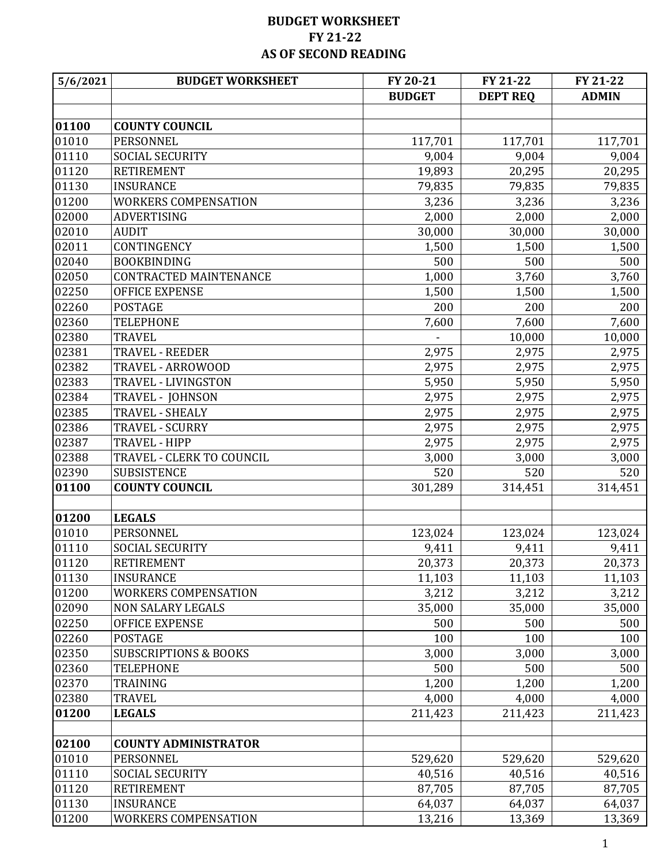| 5/6/2021           | <b>BUDGET WORKSHEET</b>          | FY 20-21      | FY 21-22        | FY 21-22     |
|--------------------|----------------------------------|---------------|-----------------|--------------|
|                    |                                  | <b>BUDGET</b> | <b>DEPT REQ</b> | <b>ADMIN</b> |
|                    |                                  |               |                 |              |
| 01100              | <b>COUNTY COUNCIL</b>            |               |                 |              |
| 01010              | PERSONNEL                        | 117,701       | 117,701         | 117,701      |
| 01110              | <b>SOCIAL SECURITY</b>           | 9,004         | 9,004           | 9,004        |
| 01120              | <b>RETIREMENT</b>                | 19,893        | 20,295          | 20,295       |
| 01130              | <b>INSURANCE</b>                 | 79,835        | 79,835          | 79,835       |
| 01200              | <b>WORKERS COMPENSATION</b>      | 3,236         | 3,236           | 3,236        |
| 02000              | <b>ADVERTISING</b>               | 2,000         | 2,000           | 2,000        |
| 02010              | <b>AUDIT</b>                     | 30,000        | 30,000          | 30,000       |
| 02011              | CONTINGENCY                      | 1,500         | 1,500           | 1,500        |
| 02040              | <b>BOOKBINDING</b>               | 500           | 500             | 500          |
| 02050              | CONTRACTED MAINTENANCE           | 1,000         | 3,760           | 3,760        |
| 02250              | <b>OFFICE EXPENSE</b>            | 1,500         | 1,500           | 1,500        |
| 02260              | <b>POSTAGE</b>                   | 200           | 200             | 200          |
| 02360              | <b>TELEPHONE</b>                 | 7,600         | 7,600           | 7,600        |
| 02380              | <b>TRAVEL</b>                    |               | 10,000          | 10,000       |
| 02381              | <b>TRAVEL - REEDER</b>           | 2,975         | 2,975           | 2,975        |
| 02382              | TRAVEL - ARROWOOD                | 2,975         | 2,975           | 2,975        |
| 02383              | TRAVEL - LIVINGSTON              | 5,950         | 5,950           | 5,950        |
| 02384              | TRAVEL - JOHNSON                 | 2,975         | 2,975           | 2,975        |
| 02385              | <b>TRAVEL - SHEALY</b>           | 2,975         | 2,975           | 2,975        |
| 02386              | <b>TRAVEL - SCURRY</b>           | 2,975         | 2,975           | 2,975        |
| 02387              | <b>TRAVEL - HIPP</b>             | 2,975         | 2,975           | 2,975        |
| 02388              | TRAVEL - CLERK TO COUNCIL        | 3,000         | 3,000           | 3,000        |
| 02390              | <b>SUBSISTENCE</b>               | 520           | 520             | 520          |
| 01100              | <b>COUNTY COUNCIL</b>            | 301,289       | 314,451         | 314,451      |
|                    |                                  |               |                 |              |
| 01200              | <b>LEGALS</b>                    |               |                 |              |
| 01010              | PERSONNEL                        | 123,024       | 123,024         | 123,024      |
| 01110              | <b>SOCIAL SECURITY</b>           | 9,411         | 9,411           | 9,411        |
| $\overline{01120}$ | <b>RETIREMENT</b>                | 20,373        | 20,373          | 20,373       |
| 01130              | <b>INSURANCE</b>                 | 11,103        | 11,103          | 11,103       |
| 01200              | <b>WORKERS COMPENSATION</b>      | 3,212         | 3,212           | 3,212        |
| 02090              | <b>NON SALARY LEGALS</b>         | 35,000        | 35,000          | 35,000       |
| 02250              | <b>OFFICE EXPENSE</b>            | 500           | 500             | 500          |
| 02260              | <b>POSTAGE</b>                   | 100           | 100             | 100          |
| 02350              | <b>SUBSCRIPTIONS &amp; BOOKS</b> | 3,000         | 3,000           | 3,000        |
| 02360              | <b>TELEPHONE</b>                 | 500           | 500             | 500          |
| 02370              | <b>TRAINING</b>                  | 1,200         | 1,200           | 1,200        |
| 02380              | <b>TRAVEL</b>                    | 4,000         | 4,000           | 4,000        |
| 01200              | <b>LEGALS</b>                    | 211,423       | 211,423         | 211,423      |
|                    |                                  |               |                 |              |
| 02100              | <b>COUNTY ADMINISTRATOR</b>      |               |                 |              |
| 01010              | PERSONNEL                        | 529,620       | 529,620         | 529,620      |
| 01110              | <b>SOCIAL SECURITY</b>           | 40,516        | 40,516          | 40,516       |
| 01120              | <b>RETIREMENT</b>                | 87,705        | 87,705          | 87,705       |
| 01130              | <b>INSURANCE</b>                 | 64,037        | 64,037          | 64,037       |
| 01200              | <b>WORKERS COMPENSATION</b>      | 13,216        | 13,369          | 13,369       |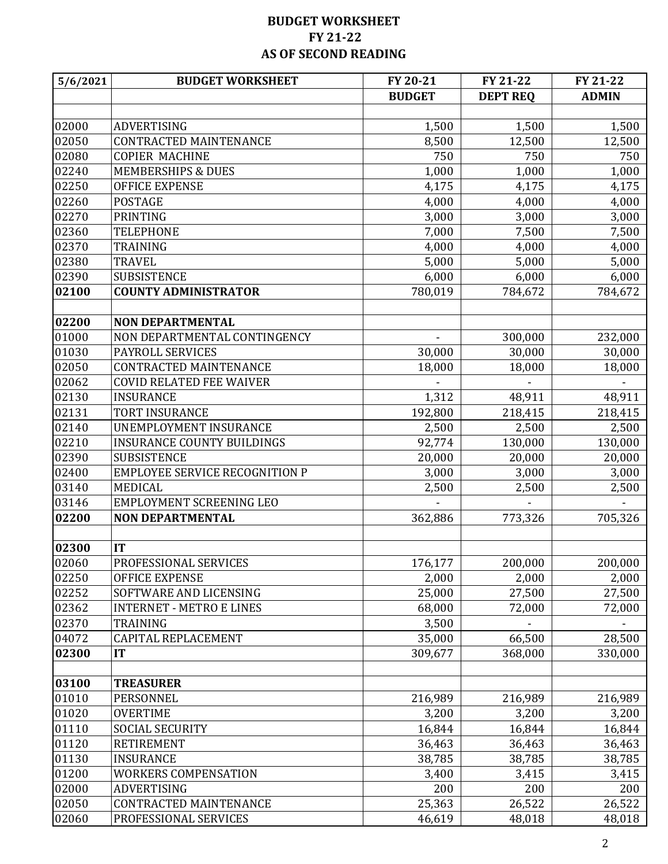| 5/6/2021 | <b>BUDGET WORKSHEET</b>               | FY 20-21      | FY 21-22        | FY 21-22     |
|----------|---------------------------------------|---------------|-----------------|--------------|
|          |                                       | <b>BUDGET</b> | <b>DEPT REQ</b> | <b>ADMIN</b> |
|          |                                       |               |                 |              |
| 02000    | <b>ADVERTISING</b>                    | 1,500         | 1,500           | 1,500        |
| 02050    | <b>CONTRACTED MAINTENANCE</b>         | 8,500         | 12,500          | 12,500       |
| 02080    | <b>COPIER MACHINE</b>                 | 750           | 750             | 750          |
| 02240    | <b>MEMBERSHIPS &amp; DUES</b>         | 1,000         | 1,000           | 1,000        |
| 02250    | <b>OFFICE EXPENSE</b>                 | 4,175         | 4,175           | 4,175        |
| 02260    | <b>POSTAGE</b>                        | 4,000         | 4,000           | 4,000        |
| 02270    | PRINTING                              | 3,000         | 3,000           | 3,000        |
| 02360    | <b>TELEPHONE</b>                      | 7,000         | 7,500           | 7,500        |
| 02370    | TRAINING                              | 4,000         | 4,000           | 4,000        |
| 02380    | <b>TRAVEL</b>                         | 5,000         | 5,000           | 5,000        |
| 02390    | <b>SUBSISTENCE</b>                    | 6,000         | 6,000           | 6,000        |
| 02100    | <b>COUNTY ADMINISTRATOR</b>           | 780,019       | 784,672         | 784,672      |
|          |                                       |               |                 |              |
| 02200    | <b>NON DEPARTMENTAL</b>               |               |                 |              |
| 01000    | NON DEPARTMENTAL CONTINGENCY          |               | 300,000         | 232,000      |
| 01030    | <b>PAYROLL SERVICES</b>               | 30,000        | 30,000          | 30,000       |
| 02050    | <b>CONTRACTED MAINTENANCE</b>         | 18,000        | 18,000          | 18,000       |
| 02062    | <b>COVID RELATED FEE WAIVER</b>       |               |                 |              |
| 02130    | <b>INSURANCE</b>                      | 1,312         | 48,911          | 48,911       |
| 02131    | TORT INSURANCE                        | 192,800       | 218,415         | 218,415      |
| 02140    | <b>UNEMPLOYMENT INSURANCE</b>         | 2,500         | 2,500           | 2,500        |
| 02210    | <b>INSURANCE COUNTY BUILDINGS</b>     | 92,774        | 130,000         | 130,000      |
| 02390    | <b>SUBSISTENCE</b>                    | 20,000        | 20,000          | 20,000       |
| 02400    | <b>EMPLOYEE SERVICE RECOGNITION P</b> | 3,000         | 3,000           | 3,000        |
| 03140    | <b>MEDICAL</b>                        | 2,500         | 2,500           | 2,500        |
| 03146    | EMPLOYMENT SCREENING LEO              |               |                 |              |
| 02200    | <b>NON DEPARTMENTAL</b>               | 362,886       | 773,326         | 705,326      |
|          |                                       |               |                 |              |
| 02300    | IT                                    |               |                 |              |
| 02060    | PROFESSIONAL SERVICES                 | 176,177       | 200,000         | 200,000      |
| 02250    | <b>OFFICE EXPENSE</b>                 | 2,000         | 2,000           | 2,000        |
| 02252    | SOFTWARE AND LICENSING                | 25,000        | 27,500          | 27,500       |
| 02362    | <b>INTERNET - METRO E LINES</b>       | 68,000        | 72,000          | 72,000       |
| 02370    | <b>TRAINING</b>                       | 3,500         |                 |              |
| 04072    | <b>CAPITAL REPLACEMENT</b>            | 35,000        | 66,500          | 28,500       |
| 02300    | IT                                    | 309,677       | 368,000         | 330,000      |
|          |                                       |               |                 |              |
| 03100    | <b>TREASURER</b>                      |               |                 |              |
| 01010    | PERSONNEL                             | 216,989       | 216,989         | 216,989      |
| 01020    | <b>OVERTIME</b>                       | 3,200         | 3,200           | 3,200        |
| 01110    | <b>SOCIAL SECURITY</b>                | 16,844        | 16,844          | 16,844       |
| 01120    | <b>RETIREMENT</b>                     | 36,463        | 36,463          | 36,463       |
| 01130    | <b>INSURANCE</b>                      | 38,785        | 38,785          | 38,785       |
| 01200    | <b>WORKERS COMPENSATION</b>           | 3,400         | 3,415           | 3,415        |
| 02000    | <b>ADVERTISING</b>                    | 200           | 200             | 200          |
| 02050    | CONTRACTED MAINTENANCE                | 25,363        | 26,522          | 26,522       |
| 02060    | PROFESSIONAL SERVICES                 | 46,619        | 48,018          | 48,018       |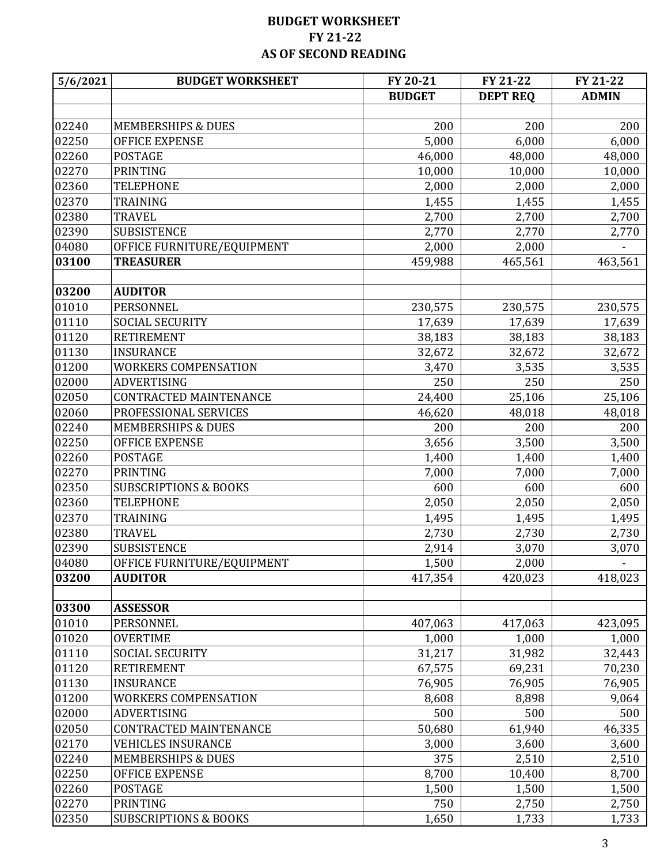| 5/6/2021 | <b>BUDGET WORKSHEET</b>          | FY 20-21      | FY 21-22        | FY 21-22     |
|----------|----------------------------------|---------------|-----------------|--------------|
|          |                                  | <b>BUDGET</b> | <b>DEPT REQ</b> | <b>ADMIN</b> |
|          |                                  |               |                 |              |
| 02240    | <b>MEMBERSHIPS &amp; DUES</b>    | 200           | 200             | 200          |
| 02250    | <b>OFFICE EXPENSE</b>            | 5,000         | 6,000           | 6,000        |
| 02260    | <b>POSTAGE</b>                   | 46,000        | 48,000          | 48,000       |
| 02270    | <b>PRINTING</b>                  | 10,000        | 10,000          | 10,000       |
| 02360    | <b>TELEPHONE</b>                 | 2,000         | 2,000           | 2,000        |
| 02370    | TRAINING                         | 1,455         | 1,455           | 1,455        |
| 02380    | <b>TRAVEL</b>                    | 2,700         | 2,700           | 2,700        |
| 02390    | <b>SUBSISTENCE</b>               | 2,770         | 2,770           | 2,770        |
| 04080    | OFFICE FURNITURE/EQUIPMENT       | 2,000         | 2,000           |              |
| 03100    | <b>TREASURER</b>                 | 459,988       | 465,561         | 463,561      |
|          |                                  |               |                 |              |
| 03200    | <b>AUDITOR</b>                   |               |                 |              |
| 01010    | PERSONNEL                        | 230,575       | 230,575         | 230,575      |
| 01110    | <b>SOCIAL SECURITY</b>           | 17,639        | 17,639          | 17,639       |
| 01120    | <b>RETIREMENT</b>                | 38,183        | 38,183          | 38,183       |
| 01130    | <b>INSURANCE</b>                 | 32,672        | 32,672          | 32,672       |
| 01200    | <b>WORKERS COMPENSATION</b>      | 3,470         | 3,535           | 3,535        |
| 02000    | <b>ADVERTISING</b>               | 250           | 250             | 250          |
| 02050    | <b>CONTRACTED MAINTENANCE</b>    | 24,400        | 25,106          | 25,106       |
| 02060    | PROFESSIONAL SERVICES            | 46,620        | 48,018          | 48,018       |
| 02240    | <b>MEMBERSHIPS &amp; DUES</b>    | 200           | 200             | 200          |
| 02250    | <b>OFFICE EXPENSE</b>            | 3,656         | 3,500           | 3,500        |
| 02260    | <b>POSTAGE</b>                   | 1,400         | 1,400           | 1,400        |
| 02270    | <b>PRINTING</b>                  | 7,000         | 7,000           | 7,000        |
| 02350    | <b>SUBSCRIPTIONS &amp; BOOKS</b> | 600           | 600             | 600          |
| 02360    | <b>TELEPHONE</b>                 | 2,050         | 2,050           | 2,050        |
| 02370    | TRAINING                         | 1,495         | 1,495           | 1,495        |
| 02380    | <b>TRAVEL</b>                    | 2,730         | 2,730           | 2,730        |
| 02390    | <b>SUBSISTENCE</b>               | 2,914         | 3,070           | 3,070        |
| 04080    | OFFICE FURNITURE/EQUIPMENT       | 1,500         | 2,000           |              |
| 03200    | <b>AUDITOR</b>                   | 417,354       | 420,023         | 418,023      |
|          |                                  |               |                 |              |
| 03300    | <b>ASSESSOR</b>                  |               |                 |              |
| 01010    | PERSONNEL                        | 407,063       | 417,063         | 423,095      |
| 01020    | <b>OVERTIME</b>                  | 1,000         | 1,000           | 1,000        |
| 01110    | <b>SOCIAL SECURITY</b>           | 31,217        | 31,982          | 32,443       |
| 01120    | <b>RETIREMENT</b>                | 67,575        | 69,231          | 70,230       |
| 01130    | <b>INSURANCE</b>                 | 76,905        | 76,905          | 76,905       |
| 01200    | <b>WORKERS COMPENSATION</b>      | 8,608         | 8,898           | 9,064        |
| 02000    | <b>ADVERTISING</b>               | 500           | 500             | 500          |
| 02050    | CONTRACTED MAINTENANCE           | 50,680        | 61,940          | 46,335       |
| 02170    | <b>VEHICLES INSURANCE</b>        | 3,000         | 3,600           | 3,600        |
| 02240    | <b>MEMBERSHIPS &amp; DUES</b>    | 375           | 2,510           | 2,510        |
| 02250    | <b>OFFICE EXPENSE</b>            | 8,700         | 10,400          | 8,700        |
| 02260    | <b>POSTAGE</b>                   | 1,500         | 1,500           | 1,500        |
| 02270    | PRINTING                         | 750           | 2,750           | 2,750        |
| 02350    | <b>SUBSCRIPTIONS &amp; BOOKS</b> | 1,650         | 1,733           | 1,733        |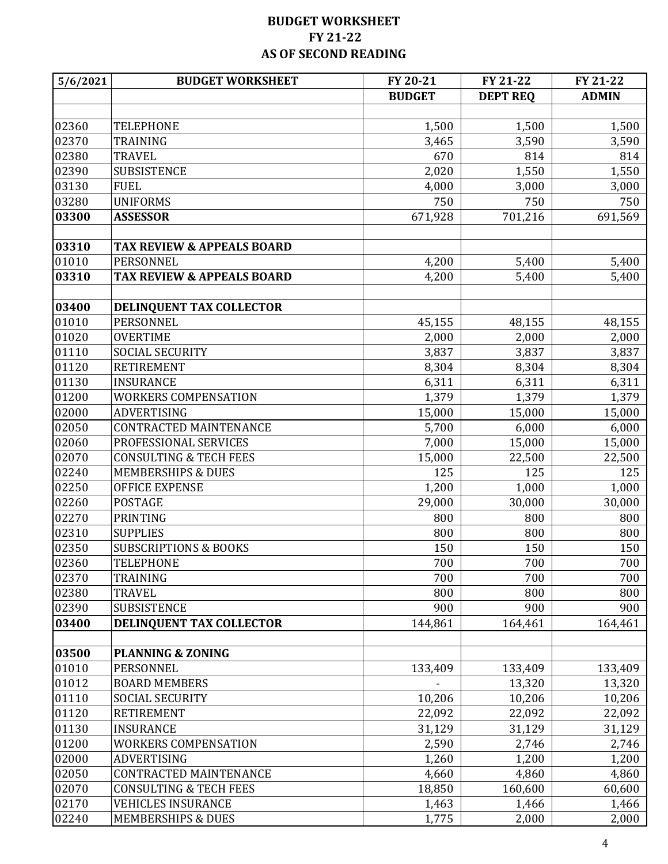| 5/6/2021 | <b>BUDGET WORKSHEET</b>               | FY 20-21      | FY 21-22        | FY 21-22     |
|----------|---------------------------------------|---------------|-----------------|--------------|
|          |                                       | <b>BUDGET</b> | <b>DEPT REQ</b> | <b>ADMIN</b> |
|          |                                       |               |                 |              |
| 02360    | <b>TELEPHONE</b>                      | 1,500         | 1,500           | 1,500        |
| 02370    | <b>TRAINING</b>                       | 3,465         | 3,590           | 3,590        |
| 02380    | <b>TRAVEL</b>                         | 670           | 814             | 814          |
| 02390    | <b>SUBSISTENCE</b>                    | 2,020         | 1,550           | 1,550        |
| 03130    | <b>FUEL</b>                           | 4,000         | 3,000           | 3,000        |
| 03280    | <b>UNIFORMS</b>                       | 750           | 750             | 750          |
| 03300    | <b>ASSESSOR</b>                       | 671,928       | 701,216         | 691,569      |
|          |                                       |               |                 |              |
| 03310    | <b>TAX REVIEW &amp; APPEALS BOARD</b> |               |                 |              |
| 01010    | PERSONNEL                             | 4,200         | 5,400           | 5,400        |
| 03310    | <b>TAX REVIEW &amp; APPEALS BOARD</b> | 4,200         | 5,400           | 5,400        |
|          |                                       |               |                 |              |
| 03400    | DELINQUENT TAX COLLECTOR              |               |                 |              |
| 01010    | PERSONNEL                             | 45,155        | 48,155          | 48,155       |
| 01020    | <b>OVERTIME</b>                       | 2,000         | 2,000           | 2,000        |
| 01110    | <b>SOCIAL SECURITY</b>                | 3,837         | 3,837           | 3,837        |
| 01120    | <b>RETIREMENT</b>                     | 8,304         | 8,304           | 8,304        |
| 01130    | <b>INSURANCE</b>                      | 6,311         | 6,311           | 6,311        |
| 01200    | <b>WORKERS COMPENSATION</b>           | 1,379         | 1,379           | 1,379        |
| 02000    | <b>ADVERTISING</b>                    | 15,000        | 15,000          | 15,000       |
| 02050    | CONTRACTED MAINTENANCE                | 5,700         | 6,000           | 6,000        |
| 02060    | PROFESSIONAL SERVICES                 | 7,000         | 15,000          | 15,000       |
| 02070    | <b>CONSULTING &amp; TECH FEES</b>     | 15,000        | 22,500          | 22,500       |
| 02240    | <b>MEMBERSHIPS &amp; DUES</b>         | 125           | 125             | 125          |
| 02250    | <b>OFFICE EXPENSE</b>                 | 1,200         | 1,000           | 1,000        |
| 02260    | <b>POSTAGE</b>                        | 29,000        | 30,000          | 30,000       |
| 02270    | PRINTING                              | 800           | 800             | 800          |
| 02310    | <b>SUPPLIES</b>                       | 800           | 800             | 800          |
| 02350    | <b>SUBSCRIPTIONS &amp; BOOKS</b>      | 150           | 150             | 150          |
| 02360    | <b>TELEPHONE</b>                      | 700           | 700             | 700          |
| 02370    | <b>TRAINING</b>                       | 700           | 700             | 700          |
| 02380    | <b>TRAVEL</b>                         | 800           | 800             | 800          |
| 02390    | <b>SUBSISTENCE</b>                    | 900           | 900             | 900          |
| 03400    | DELINQUENT TAX COLLECTOR              | 144,861       | 164,461         | 164,461      |
|          |                                       |               |                 |              |
| 03500    | <b>PLANNING &amp; ZONING</b>          |               |                 |              |
| 01010    | PERSONNEL                             | 133,409       | 133,409         | 133,409      |
| 01012    | <b>BOARD MEMBERS</b>                  |               | 13,320          | 13,320       |
| 01110    | <b>SOCIAL SECURITY</b>                | 10,206        | 10,206          | 10,206       |
| 01120    | <b>RETIREMENT</b>                     | 22,092        | 22,092          | 22,092       |
| 01130    | <b>INSURANCE</b>                      | 31,129        | 31,129          | 31,129       |
| 01200    | <b>WORKERS COMPENSATION</b>           | 2,590         | 2,746           | 2,746        |
| 02000    | <b>ADVERTISING</b>                    | 1,260         | 1,200           | 1,200        |
| 02050    | <b>CONTRACTED MAINTENANCE</b>         | 4,660         | 4,860           | 4,860        |
| 02070    | <b>CONSULTING &amp; TECH FEES</b>     | 18,850        | 160,600         | 60,600       |
| 02170    | <b>VEHICLES INSURANCE</b>             | 1,463         | 1,466           | 1,466        |
| 02240    | <b>MEMBERSHIPS &amp; DUES</b>         | 1,775         | 2,000           | 2,000        |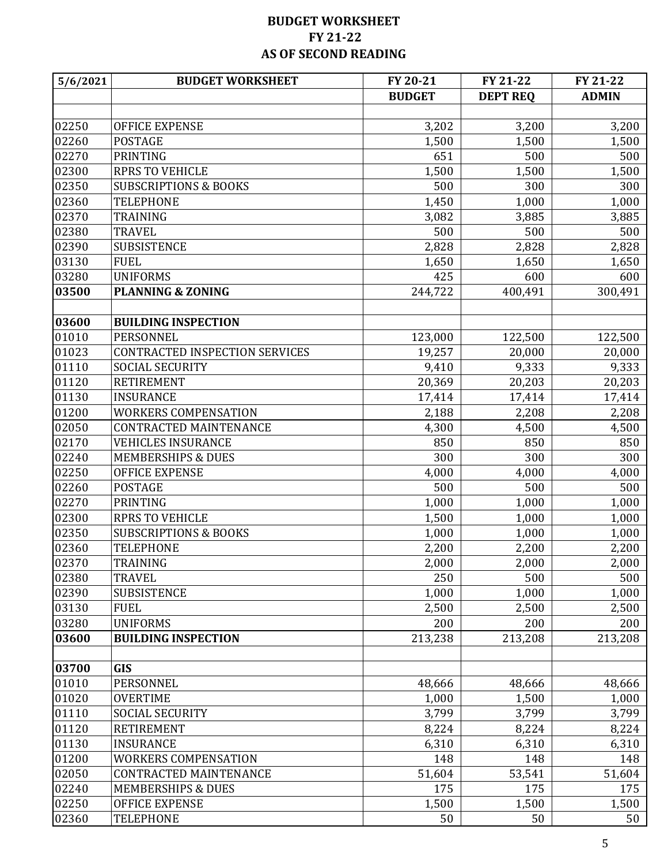| 5/6/2021 | <b>BUDGET WORKSHEET</b>               | FY 20-21        | FY 21-22        | FY 21-22        |
|----------|---------------------------------------|-----------------|-----------------|-----------------|
|          |                                       | <b>BUDGET</b>   | <b>DEPT REQ</b> | <b>ADMIN</b>    |
|          |                                       |                 |                 |                 |
| 02250    | <b>OFFICE EXPENSE</b>                 | 3,202           | 3,200           | 3,200           |
| 02260    | <b>POSTAGE</b>                        | 1,500           | 1,500           | 1,500           |
| 02270    | PRINTING                              | 651             | 500             | 500             |
| 02300    | <b>RPRS TO VEHICLE</b>                | 1,500           | 1,500           | 1,500           |
| 02350    | <b>SUBSCRIPTIONS &amp; BOOKS</b>      | 500             | 300             | 300             |
| 02360    | TELEPHONE                             | 1,450           | 1,000           | 1,000           |
| 02370    | TRAINING                              | 3,082           | 3,885           | 3,885           |
| 02380    | <b>TRAVEL</b>                         | 500             | 500             | 500             |
| 02390    | <b>SUBSISTENCE</b>                    | 2,828           | 2,828           | 2,828           |
| 03130    | <b>FUEL</b>                           | 1,650           | 1,650           | 1,650           |
| 03280    | <b>UNIFORMS</b>                       | 425             | 600             | 600             |
| 03500    | <b>PLANNING &amp; ZONING</b>          | 244,722         | 400,491         | 300,491         |
|          |                                       |                 |                 |                 |
| 03600    | <b>BUILDING INSPECTION</b>            |                 |                 |                 |
| 01010    | PERSONNEL                             | 123,000         | 122,500         | 122,500         |
| 01023    | <b>CONTRACTED INSPECTION SERVICES</b> | 19,257          | 20,000          | 20,000          |
| 01110    | <b>SOCIAL SECURITY</b>                | 9,410           | 9,333           | 9,333           |
| 01120    | <b>RETIREMENT</b>                     | 20,369          | 20,203          | 20,203          |
| 01130    | <b>INSURANCE</b>                      | 17,414          | 17,414          | 17,414          |
| 01200    | <b>WORKERS COMPENSATION</b>           | 2,188           | 2,208           | 2,208           |
| 02050    | CONTRACTED MAINTENANCE                | 4,300           | 4,500           | 4,500           |
| 02170    | <b>VEHICLES INSURANCE</b>             | 850             | 850             | 850             |
| 02240    | <b>MEMBERSHIPS &amp; DUES</b>         | 300             | 300             | 300             |
| 02250    | <b>OFFICE EXPENSE</b>                 | 4,000           | 4,000           | 4,000           |
| 02260    | <b>POSTAGE</b>                        | 500             | 500             | 500             |
| 02270    | PRINTING                              | 1,000           | 1,000           | 1,000           |
| 02300    | <b>RPRS TO VEHICLE</b>                | 1,500           | 1,000           | 1,000           |
| 02350    | <b>SUBSCRIPTIONS &amp; BOOKS</b>      | 1,000           | 1,000           | 1,000           |
| 02360    | <b>TELEPHONE</b>                      | 2,200           | 2,200           | 2,200           |
| 02370    | TRAINING                              | 2,000           | 2,000           | 2,000           |
| 02380    | TRAVEL                                | 250             | 500             | 500             |
| 02390    | <b>SUBSISTENCE</b>                    | 1,000           | 1,000           | 1,000           |
| 03130    | <b>FUEL</b>                           | 2,500           | 2,500           | 2,500           |
| 03280    | <b>UNIFORMS</b>                       | 200             | 200             | 200             |
| 03600    | <b>BUILDING INSPECTION</b>            | 213,238         | 213,208         | 213,208         |
|          |                                       |                 |                 |                 |
| 03700    | <b>GIS</b>                            |                 |                 |                 |
| 01010    | PERSONNEL                             |                 |                 |                 |
| 01020    | <b>OVERTIME</b>                       | 48,666<br>1,000 | 48,666<br>1,500 | 48,666<br>1,000 |
|          |                                       |                 |                 |                 |
| 01110    | <b>SOCIAL SECURITY</b>                | 3,799           | 3,799           | 3,799           |
| 01120    | <b>RETIREMENT</b>                     | 8,224           | 8,224           | 8,224           |
| 01130    | <b>INSURANCE</b>                      | 6,310           | 6,310           | 6,310           |
| 01200    | <b>WORKERS COMPENSATION</b>           | 148             | 148             | 148             |
| 02050    | CONTRACTED MAINTENANCE                | 51,604          | 53,541          | 51,604          |
| 02240    | <b>MEMBERSHIPS &amp; DUES</b>         | 175             | 175             | 175             |
| 02250    | <b>OFFICE EXPENSE</b>                 | 1,500           | 1,500           | 1,500           |
| 02360    | <b>TELEPHONE</b>                      | 50              | 50              | 50              |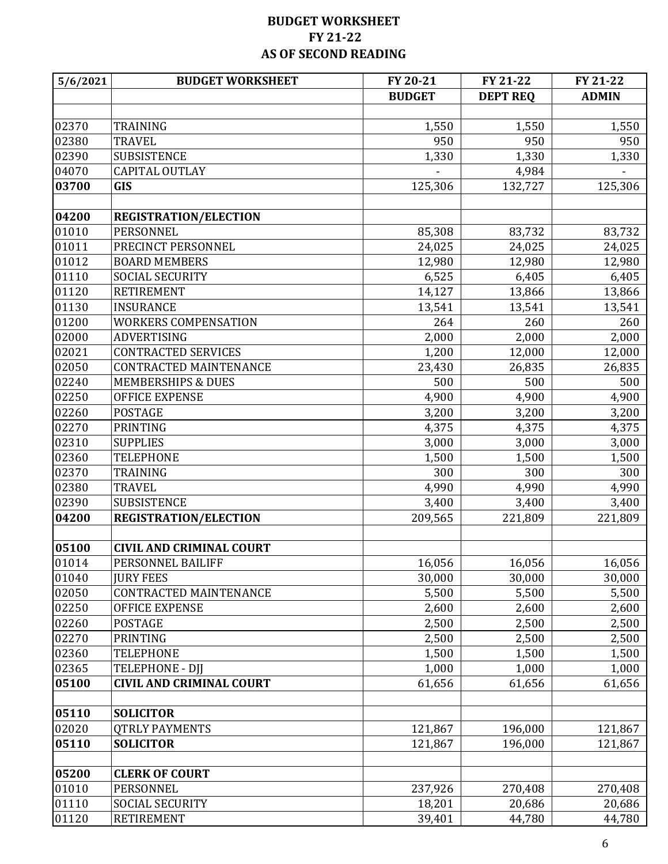| 5/6/2021           | <b>BUDGET WORKSHEET</b>         | FY 20-21      | FY 21-22        | FY 21-22     |
|--------------------|---------------------------------|---------------|-----------------|--------------|
|                    |                                 | <b>BUDGET</b> | <b>DEPT REQ</b> | <b>ADMIN</b> |
|                    |                                 |               |                 |              |
| 02370              | <b>TRAINING</b>                 | 1,550         | 1,550           | 1,550        |
| 02380              | <b>TRAVEL</b>                   | 950           | 950             | 950          |
| 02390              | <b>SUBSISTENCE</b>              | 1,330         | 1,330           | 1,330        |
| 04070              | <b>CAPITAL OUTLAY</b>           |               | 4,984           |              |
| 03700              | <b>GIS</b>                      | 125,306       | 132,727         | 125,306      |
|                    |                                 |               |                 |              |
| 04200              | <b>REGISTRATION/ELECTION</b>    |               |                 |              |
| 01010              | PERSONNEL                       | 85,308        | 83,732          | 83,732       |
| 01011              | PRECINCT PERSONNEL              | 24,025        | 24,025          | 24,025       |
| 01012              | <b>BOARD MEMBERS</b>            | 12,980        | 12,980          | 12,980       |
| 01110              | <b>SOCIAL SECURITY</b>          | 6,525         | 6,405           | 6,405        |
| 01120              | <b>RETIREMENT</b>               | 14,127        | 13,866          | 13,866       |
| 01130              | <b>INSURANCE</b>                | 13,541        | 13,541          | 13,541       |
| 01200              | <b>WORKERS COMPENSATION</b>     | 264           | 260             | 260          |
| 02000              | <b>ADVERTISING</b>              | 2,000         | 2,000           | 2,000        |
| 02021              | <b>CONTRACTED SERVICES</b>      | 1,200         | 12,000          | 12,000       |
| 02050              | <b>CONTRACTED MAINTENANCE</b>   | 23,430        | 26,835          | 26,835       |
| 02240              | <b>MEMBERSHIPS &amp; DUES</b>   | 500           | 500             | 500          |
| 02250              | <b>OFFICE EXPENSE</b>           | 4,900         | 4,900           | 4,900        |
| 02260              | <b>POSTAGE</b>                  | 3,200         | 3,200           | 3,200        |
| 02270              | <b>PRINTING</b>                 | 4,375         | 4,375           | 4,375        |
| 02310              | <b>SUPPLIES</b>                 | 3,000         | 3,000           | 3,000        |
| 02360              | <b>TELEPHONE</b>                | 1,500         | 1,500           | 1,500        |
| 02370              | <b>TRAINING</b>                 | 300           | 300             | 300          |
| 02380              | <b>TRAVEL</b>                   | 4,990         | 4,990           | 4,990        |
| 02390              | <b>SUBSISTENCE</b>              | 3,400         | 3,400           | 3,400        |
| 04200              | <b>REGISTRATION/ELECTION</b>    | 209,565       | 221,809         | 221,809      |
|                    |                                 |               |                 |              |
| 05100              | <b>CIVIL AND CRIMINAL COURT</b> |               |                 |              |
| $\overline{010}14$ | PERSONNEL BAILIFF               | 16,056        | 16,056          | 16,056       |
| 01040              | <b>JURY FEES</b>                | 30,000        | 30,000          | 30,000       |
| 02050              | <b>CONTRACTED MAINTENANCE</b>   | 5,500         | 5,500           | 5,500        |
| 02250              | <b>OFFICE EXPENSE</b>           | 2,600         | 2,600           | 2,600        |
| 02260              | <b>POSTAGE</b>                  | 2,500         | 2,500           | 2,500        |
| 02270              | PRINTING                        | 2,500         | 2,500           | 2,500        |
| 02360              | <b>TELEPHONE</b>                | 1,500         | 1,500           | 1,500        |
| 02365              | <b>TELEPHONE - DJJ</b>          | 1,000         | 1,000           | 1,000        |
| 05100              | <b>CIVIL AND CRIMINAL COURT</b> | 61,656        | 61,656          | 61,656       |
| 05110              | <b>SOLICITOR</b>                |               |                 |              |
| 02020              | <b>QTRLY PAYMENTS</b>           | 121,867       | 196,000         | 121,867      |
| 05110              | <b>SOLICITOR</b>                | 121,867       | 196,000         | 121,867      |
|                    |                                 |               |                 |              |
| 05200              | <b>CLERK OF COURT</b>           |               |                 |              |
| 01010              | PERSONNEL                       | 237,926       | 270,408         | 270,408      |
| 01110              | <b>SOCIAL SECURITY</b>          | 18,201        | 20,686          | 20,686       |
| 01120              | <b>RETIREMENT</b>               | 39,401        | 44,780          | 44,780       |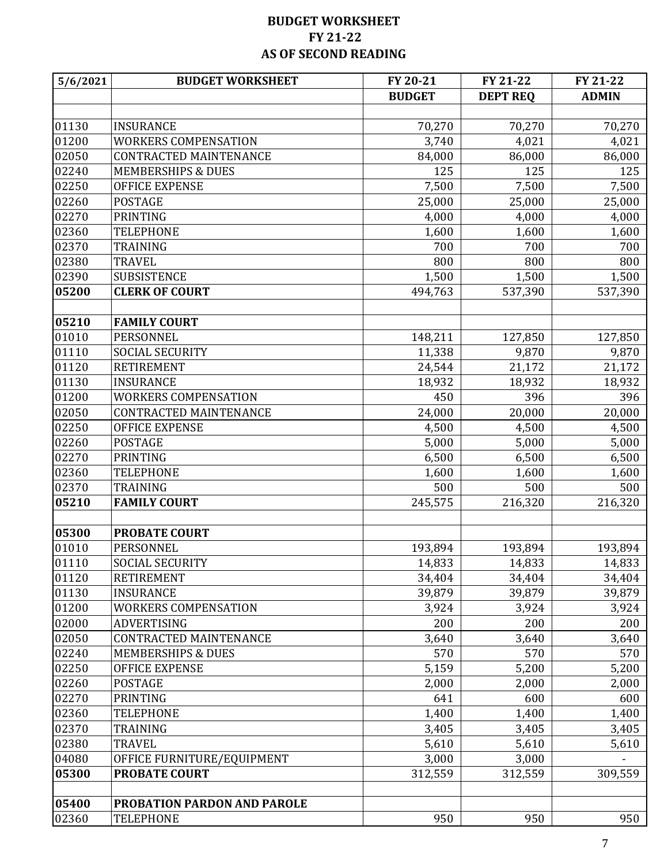| 5/6/2021       | <b>BUDGET WORKSHEET</b>       | FY 20-21      | FY 21-22        | FY 21-22     |
|----------------|-------------------------------|---------------|-----------------|--------------|
|                |                               | <b>BUDGET</b> | <b>DEPT REQ</b> | <b>ADMIN</b> |
|                |                               |               |                 |              |
| 01130          | <b>INSURANCE</b>              | 70,270        | 70,270          | 70,270       |
| 01200          | <b>WORKERS COMPENSATION</b>   | 3,740         | 4,021           | 4,021        |
| 02050          | CONTRACTED MAINTENANCE        | 84,000        | 86,000          | 86,000       |
| 02240          | <b>MEMBERSHIPS &amp; DUES</b> | 125           | 125             | 125          |
| 02250          | <b>OFFICE EXPENSE</b>         | 7,500         | 7,500           | 7,500        |
| 02260          | <b>POSTAGE</b>                | 25,000        | 25,000          | 25,000       |
| 02270          | PRINTING                      | 4,000         | 4,000           | 4,000        |
| 02360          | TELEPHONE                     | 1,600         | 1,600           | 1,600        |
| 02370          | <b>TRAINING</b>               | 700           | 700             | 700          |
| 02380          | <b>TRAVEL</b>                 | 800           | 800             | 800          |
| 02390          | <b>SUBSISTENCE</b>            | 1,500         | 1,500           | 1,500        |
| 05200          | <b>CLERK OF COURT</b>         | 494,763       | 537,390         | 537,390      |
|                |                               |               |                 |              |
| 05210          | <b>FAMILY COURT</b>           |               |                 |              |
| 01010          | PERSONNEL                     | 148,211       | 127,850         | 127,850      |
| 01110          | <b>SOCIAL SECURITY</b>        | 11,338        | 9,870           | 9,870        |
| 01120          | <b>RETIREMENT</b>             | 24,544        | 21,172          | 21,172       |
| 01130          | <b>INSURANCE</b>              | 18,932        | 18,932          | 18,932       |
| 01200          | <b>WORKERS COMPENSATION</b>   | 450           | 396             | 396          |
| 02050          | CONTRACTED MAINTENANCE        | 24,000        | 20,000          | 20,000       |
| 02250          | <b>OFFICE EXPENSE</b>         | 4,500         | 4,500           | 4,500        |
| 02260          | <b>POSTAGE</b>                | 5,000         | 5,000           | 5,000        |
| 02270          | PRINTING                      | 6,500         | 6,500           | 6,500        |
| 02360          | <b>TELEPHONE</b>              | 1,600         | 1,600           | 1,600        |
| 02370          | <b>TRAINING</b>               | 500           | 500             | 500          |
| 05210          | <b>FAMILY COURT</b>           | 245,575       | 216,320         | 216,320      |
|                |                               |               |                 |              |
| 05300          | <b>PROBATE COURT</b>          |               |                 |              |
| 01010          | PERSONNEL                     | 193,894       | 193,894         | 193,894      |
| $\sqrt{01110}$ | <b>SOCIAL SECURITY</b>        | 14,833        | 14,833          | 14,833       |
| 01120          | <b>RETIREMENT</b>             | 34,404        | 34,404          | 34,404       |
| 01130          | <b>INSURANCE</b>              | 39,879        | 39,879          | 39,879       |
| 01200          | <b>WORKERS COMPENSATION</b>   | 3,924         | 3,924           | 3,924        |
| 02000          | <b>ADVERTISING</b>            | 200           | 200             | 200          |
| 02050          | <b>CONTRACTED MAINTENANCE</b> | 3,640         | 3,640           | 3,640        |
| 02240          | <b>MEMBERSHIPS &amp; DUES</b> | 570           | 570             | 570          |
| 02250          | <b>OFFICE EXPENSE</b>         | 5,159         | 5,200           | 5,200        |
| 02260          | <b>POSTAGE</b>                | 2,000         | 2,000           | 2,000        |
| 02270          | PRINTING                      | 641           | 600             | 600          |
| 02360          | <b>TELEPHONE</b>              | 1,400         | 1,400           | 1,400        |
| 02370          | TRAINING                      | 3,405         | 3,405           | 3,405        |
| 02380          | <b>TRAVEL</b>                 | 5,610         | 5,610           | 5,610        |
| 04080          | OFFICE FURNITURE/EQUIPMENT    | 3,000         | 3,000           |              |
| 05300          | <b>PROBATE COURT</b>          | 312,559       | 312,559         | 309,559      |
|                |                               |               |                 |              |
| 05400          | PROBATION PARDON AND PAROLE   |               |                 |              |
| 02360          | <b>TELEPHONE</b>              | 950           | 950             | 950          |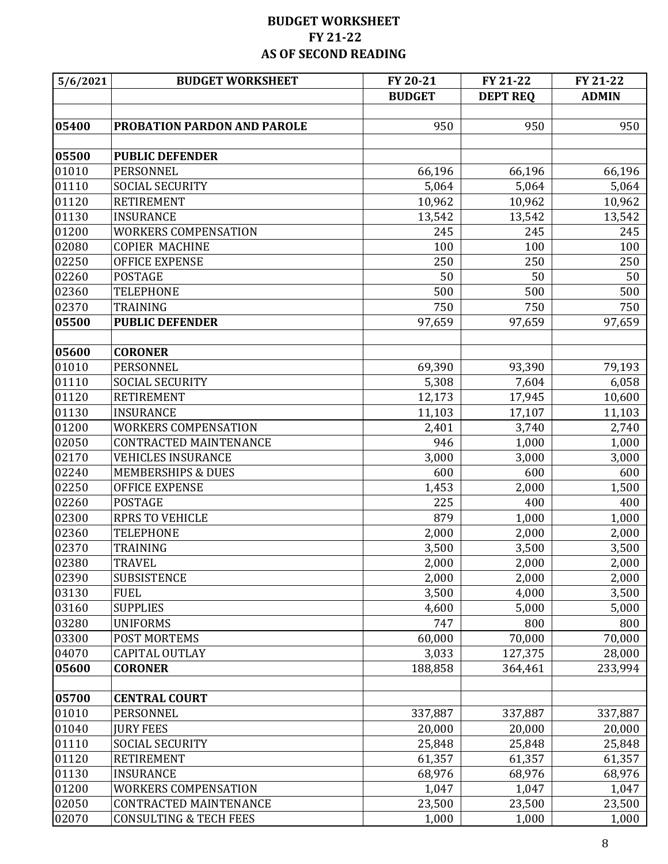| 5/6/2021           | <b>BUDGET WORKSHEET</b>               | FY 20-21        | FY 21-22        | FY 21-22        |
|--------------------|---------------------------------------|-----------------|-----------------|-----------------|
|                    |                                       | <b>BUDGET</b>   | <b>DEPT REQ</b> | <b>ADMIN</b>    |
|                    |                                       |                 |                 |                 |
| 05400              | PROBATION PARDON AND PAROLE           | 950             | 950             | 950             |
|                    |                                       |                 |                 |                 |
| 05500              | <b>PUBLIC DEFENDER</b>                |                 |                 |                 |
| 01010              | PERSONNEL                             | 66,196          | 66,196          | 66,196          |
| 01110              | <b>SOCIAL SECURITY</b>                | 5,064           | 5,064           | 5,064           |
| 01120              | <b>RETIREMENT</b>                     | 10,962          | 10,962          | 10,962          |
| 01130              | <b>INSURANCE</b>                      | 13,542          | 13,542          | 13,542          |
| 01200              | <b>WORKERS COMPENSATION</b>           | 245             | 245             | 245             |
| 02080              | <b>COPIER MACHINE</b>                 | 100             | 100             | 100             |
| 02250              | <b>OFFICE EXPENSE</b>                 | 250             | 250             | 250             |
| 02260              | <b>POSTAGE</b>                        | 50              | 50              | 50              |
| 02360              | <b>TELEPHONE</b>                      | 500             | 500             | 500             |
| 02370              | TRAINING                              | 750             | 750             | 750             |
| 05500              | <b>PUBLIC DEFENDER</b>                | 97,659          | 97,659          | 97,659          |
|                    |                                       |                 |                 |                 |
| 05600              | <b>CORONER</b>                        |                 |                 |                 |
| 01010              | PERSONNEL                             | 69,390          | 93,390          | 79,193          |
| 01110              | <b>SOCIAL SECURITY</b>                | 5,308           | 7,604           | 6,058           |
| 01120              | <b>RETIREMENT</b>                     | 12,173          | 17,945          | 10,600          |
| 01130              | <b>INSURANCE</b>                      | 11,103          | 17,107          | 11,103          |
| 01200              | <b>WORKERS COMPENSATION</b>           | 2,401           | 3,740           | 2,740           |
| 02050              | <b>CONTRACTED MAINTENANCE</b>         | 946             | 1,000           | 1,000           |
| 02170              | <b>VEHICLES INSURANCE</b>             | 3,000           | 3,000           | 3,000           |
| 02240              | <b>MEMBERSHIPS &amp; DUES</b>         | 600             | 600             | 600             |
| 02250              | <b>OFFICE EXPENSE</b>                 | 1,453           | 2,000           | 1,500           |
| 02260              | <b>POSTAGE</b>                        | 225             | 400             | 400             |
| 02300              | <b>RPRS TO VEHICLE</b>                | 879             | 1,000           | 1,000           |
| 02360              | <b>TELEPHONE</b>                      | 2,000           | 2,000           | 2,000           |
| 02370              | TRAINING                              | 3,500           | 3,500           | 3,500           |
| $\overline{02380}$ | <b>TRAVEL</b>                         | 2,000           | 2,000           | 2,000           |
| 02390              | <b>SUBSISTENCE</b>                    | 2,000           | 2,000           | 2,000           |
| 03130              | <b>FUEL</b>                           | 3,500           | 4,000           | 3,500           |
| 03160              | <b>SUPPLIES</b>                       | 4,600           | 5,000           | 5,000           |
| 03280              | <b>UNIFORMS</b>                       | 747             | 800             | 800             |
| 03300              | POST MORTEMS                          | 60,000          | 70,000          | 70,000          |
| 04070              | <b>CAPITAL OUTLAY</b>                 | 3,033           | 127,375         | 28,000          |
| 05600              | <b>CORONER</b>                        | 188,858         | 364,461         | 233,994         |
|                    |                                       |                 |                 |                 |
| 05700              | <b>CENTRAL COURT</b>                  |                 |                 |                 |
| 01010              | PERSONNEL                             | 337,887         | 337,887         | 337,887         |
| 01040              | <b>JURY FEES</b>                      | 20,000          | 20,000          | 20,000          |
| 01110              | <b>SOCIAL SECURITY</b>                | 25,848          | 25,848          | 25,848          |
| 01120<br>01130     | <b>RETIREMENT</b><br><b>INSURANCE</b> | 61,357          | 61,357          | 61,357          |
| 01200              | <b>WORKERS COMPENSATION</b>           | 68,976          | 68,976<br>1,047 | 68,976<br>1,047 |
| 02050              | CONTRACTED MAINTENANCE                | 1,047<br>23,500 | 23,500          | 23,500          |
| 02070              | <b>CONSULTING &amp; TECH FEES</b>     | 1,000           | 1,000           | 1,000           |
|                    |                                       |                 |                 |                 |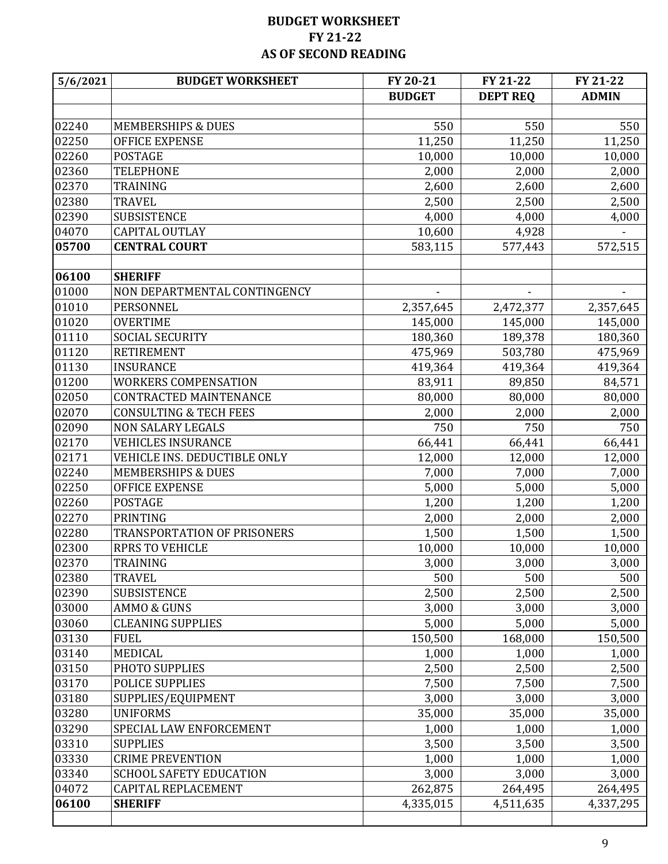| 5/6/2021 | <b>BUDGET WORKSHEET</b>           | FY 20-21      | FY 21-22        | FY 21-22     |
|----------|-----------------------------------|---------------|-----------------|--------------|
|          |                                   | <b>BUDGET</b> | <b>DEPT REQ</b> | <b>ADMIN</b> |
|          |                                   |               |                 |              |
| 02240    | <b>MEMBERSHIPS &amp; DUES</b>     | 550           | 550             | 550          |
| 02250    | <b>OFFICE EXPENSE</b>             | 11,250        | 11,250          | 11,250       |
| 02260    | <b>POSTAGE</b>                    | 10,000        | 10,000          | 10,000       |
| 02360    | <b>TELEPHONE</b>                  | 2,000         | 2,000           | 2,000        |
| 02370    | TRAINING                          | 2,600         | 2,600           | 2,600        |
| 02380    | <b>TRAVEL</b>                     | 2,500         | 2,500           | 2,500        |
| 02390    | <b>SUBSISTENCE</b>                | 4,000         | 4,000           | 4,000        |
| 04070    | <b>CAPITAL OUTLAY</b>             | 10,600        | 4,928           |              |
| 05700    | <b>CENTRAL COURT</b>              | 583,115       | 577,443         | 572,515      |
|          |                                   |               |                 |              |
| 06100    | <b>SHERIFF</b>                    |               |                 |              |
| 01000    | NON DEPARTMENTAL CONTINGENCY      |               |                 |              |
| 01010    | PERSONNEL                         | 2,357,645     | 2,472,377       | 2,357,645    |
| 01020    | <b>OVERTIME</b>                   | 145,000       | 145,000         | 145,000      |
| 01110    | <b>SOCIAL SECURITY</b>            | 180,360       | 189,378         | 180,360      |
| 01120    | <b>RETIREMENT</b>                 | 475,969       | 503,780         | 475,969      |
| 01130    | <b>INSURANCE</b>                  | 419,364       | 419,364         | 419,364      |
| 01200    | <b>WORKERS COMPENSATION</b>       | 83,911        | 89,850          | 84,571       |
| 02050    | <b>CONTRACTED MAINTENANCE</b>     | 80,000        | 80,000          | 80,000       |
| 02070    | <b>CONSULTING &amp; TECH FEES</b> | 2,000         | 2,000           | 2,000        |
| 02090    | <b>NON SALARY LEGALS</b>          | 750           | 750             | 750          |
| 02170    | <b>VEHICLES INSURANCE</b>         | 66,441        | 66,441          | 66,441       |
| 02171    | VEHICLE INS. DEDUCTIBLE ONLY      | 12,000        | 12,000          | 12,000       |
| 02240    | <b>MEMBERSHIPS &amp; DUES</b>     | 7,000         | 7,000           | 7,000        |
| 02250    | <b>OFFICE EXPENSE</b>             | 5,000         | 5,000           | 5,000        |
| 02260    | <b>POSTAGE</b>                    | 1,200         | 1,200           | 1,200        |
| 02270    | PRINTING                          | 2,000         | 2,000           | 2,000        |
| 02280    | TRANSPORTATION OF PRISONERS       | 1,500         | 1,500           | 1,500        |
| 02300    | <b>RPRS TO VEHICLE</b>            | 10,000        | 10,000          | 10,000       |
| 02370    | TRAINING                          | 3,000         | 3,000           | 3,000        |
| 02380    | <b>TRAVEL</b>                     | 500           | 500             | 500          |
| 02390    | <b>SUBSISTENCE</b>                | 2,500         | 2,500           | 2,500        |
| 03000    | <b>AMMO &amp; GUNS</b>            | 3,000         | 3,000           | 3,000        |
| 03060    | <b>CLEANING SUPPLIES</b>          | 5,000         | 5,000           | 5,000        |
| 03130    | <b>FUEL</b>                       | 150,500       | 168,000         | 150,500      |
| 03140    | <b>MEDICAL</b>                    | 1,000         | 1,000           | 1,000        |
| 03150    | PHOTO SUPPLIES                    | 2,500         | 2,500           | 2,500        |
| 03170    | <b>POLICE SUPPLIES</b>            | 7,500         | 7,500           | 7,500        |
| 03180    | SUPPLIES/EQUIPMENT                | 3,000         | 3,000           | 3,000        |
| 03280    | <b>UNIFORMS</b>                   | 35,000        | 35,000          | 35,000       |
| 03290    | SPECIAL LAW ENFORCEMENT           | 1,000         | 1,000           | 1,000        |
| 03310    | <b>SUPPLIES</b>                   | 3,500         | 3,500           | 3,500        |
| 03330    | <b>CRIME PREVENTION</b>           | 1,000         | 1,000           | 1,000        |
| 03340    | <b>SCHOOL SAFETY EDUCATION</b>    | 3,000         | 3,000           | 3,000        |
| 04072    | CAPITAL REPLACEMENT               | 262,875       | 264,495         | 264,495      |
| 06100    | <b>SHERIFF</b>                    | 4,335,015     | 4,511,635       | 4,337,295    |
|          |                                   |               |                 |              |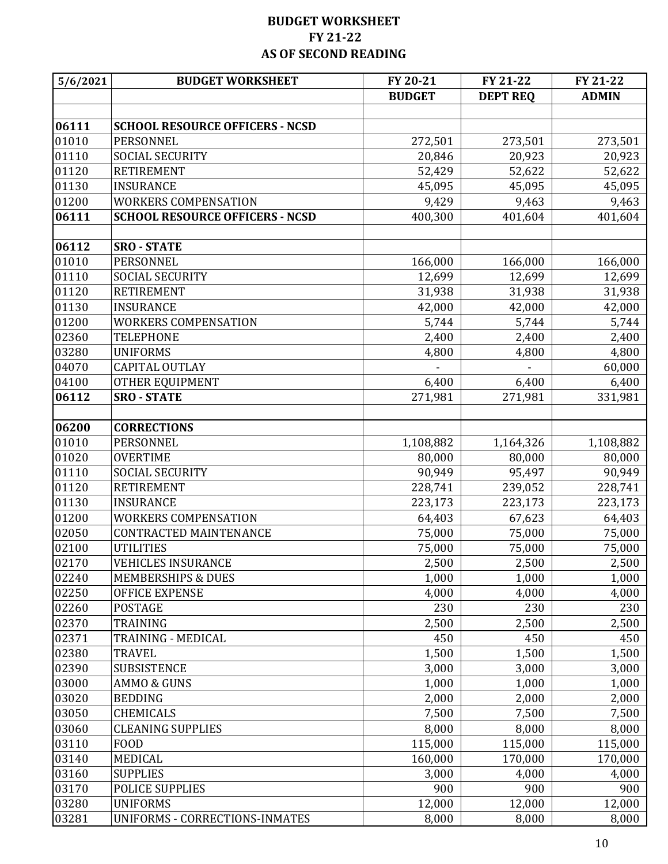| 5/6/2021 | <b>BUDGET WORKSHEET</b>                | FY 20-21      | FY 21-22        | FY 21-22     |
|----------|----------------------------------------|---------------|-----------------|--------------|
|          |                                        | <b>BUDGET</b> | <b>DEPT REQ</b> | <b>ADMIN</b> |
|          |                                        |               |                 |              |
| 06111    | <b>SCHOOL RESOURCE OFFICERS - NCSD</b> |               |                 |              |
| 01010    | PERSONNEL                              | 272,501       | 273,501         | 273,501      |
| 01110    | <b>SOCIAL SECURITY</b>                 | 20,846        | 20,923          | 20,923       |
| 01120    | <b>RETIREMENT</b>                      | 52,429        | 52,622          | 52,622       |
| 01130    | <b>INSURANCE</b>                       | 45,095        | 45,095          | 45,095       |
| 01200    | <b>WORKERS COMPENSATION</b>            | 9,429         | 9,463           | 9,463        |
| 06111    | <b>SCHOOL RESOURCE OFFICERS - NCSD</b> | 400,300       | 401,604         | 401,604      |
|          |                                        |               |                 |              |
| 06112    | <b>SRO - STATE</b>                     |               |                 |              |
| 01010    | PERSONNEL                              | 166,000       | 166,000         | 166,000      |
| 01110    | <b>SOCIAL SECURITY</b>                 | 12,699        | 12,699          | 12,699       |
| 01120    | <b>RETIREMENT</b>                      | 31,938        | 31,938          | 31,938       |
| 01130    | <b>INSURANCE</b>                       | 42,000        | 42,000          | 42,000       |
| 01200    | <b>WORKERS COMPENSATION</b>            | 5,744         | 5,744           | 5,744        |
| 02360    | <b>TELEPHONE</b>                       | 2,400         | 2,400           | 2,400        |
| 03280    | <b>UNIFORMS</b>                        | 4,800         | 4,800           | 4,800        |
| 04070    | <b>CAPITAL OUTLAY</b>                  |               |                 | 60,000       |
| 04100    | OTHER EQUIPMENT                        | 6,400         | 6,400           | 6,400        |
| 06112    | <b>SRO - STATE</b>                     | 271,981       | 271,981         | 331,981      |
|          |                                        |               |                 |              |
| 06200    | <b>CORRECTIONS</b>                     |               |                 |              |
| 01010    | PERSONNEL                              | 1,108,882     | 1,164,326       | 1,108,882    |
| 01020    | <b>OVERTIME</b>                        | 80,000        | 80,000          | 80,000       |
| 01110    | <b>SOCIAL SECURITY</b>                 | 90,949        | 95,497          | 90,949       |
| 01120    | <b>RETIREMENT</b>                      | 228,741       | 239,052         | 228,741      |
| 01130    | <b>INSURANCE</b>                       | 223,173       | 223,173         | 223,173      |
| 01200    | <b>WORKERS COMPENSATION</b>            | 64,403        | 67,623          | 64,403       |
| 02050    | <b>CONTRACTED MAINTENANCE</b>          | 75,000        | 75,000          | 75,000       |
| 02100    | <b>UTILITIES</b>                       | 75,000        | 75,000          | 75,000       |
| 02170    | <b>VEHICLES INSURANCE</b>              | 2,500         | 2,500           | 2,500        |
| 02240    | <b>MEMBERSHIPS &amp; DUES</b>          | 1,000         | 1,000           | 1,000        |
| 02250    | <b>OFFICE EXPENSE</b>                  | 4,000         | 4,000           | 4,000        |
| 02260    | <b>POSTAGE</b>                         | 230           | 230             | 230          |
| 02370    | <b>TRAINING</b>                        | 2,500         | 2,500           | 2,500        |
| 02371    | TRAINING - MEDICAL                     | 450           | 450             | 450          |
| 02380    | <b>TRAVEL</b>                          | 1,500         | 1,500           | 1,500        |
| 02390    | <b>SUBSISTENCE</b>                     | 3,000         | 3,000           | 3,000        |
| 03000    | AMMO & GUNS                            | 1,000         | 1,000           | 1,000        |
| 03020    | <b>BEDDING</b>                         | 2,000         | 2,000           | 2,000        |
| 03050    | <b>CHEMICALS</b>                       | 7,500         | 7,500           | 7,500        |
| 03060    | <b>CLEANING SUPPLIES</b>               | 8,000         | 8,000           | 8,000        |
| 03110    | <b>FOOD</b>                            | 115,000       | 115,000         | 115,000      |
| 03140    | <b>MEDICAL</b>                         | 160,000       | 170,000         | 170,000      |
| 03160    | <b>SUPPLIES</b>                        | 3,000         | 4,000           | 4,000        |
| 03170    | <b>POLICE SUPPLIES</b>                 | 900           | 900             | 900          |
| 03280    | <b>UNIFORMS</b>                        | 12,000        | 12,000          | 12,000       |
| 03281    | UNIFORMS - CORRECTIONS-INMATES         | 8,000         | 8,000           | 8,000        |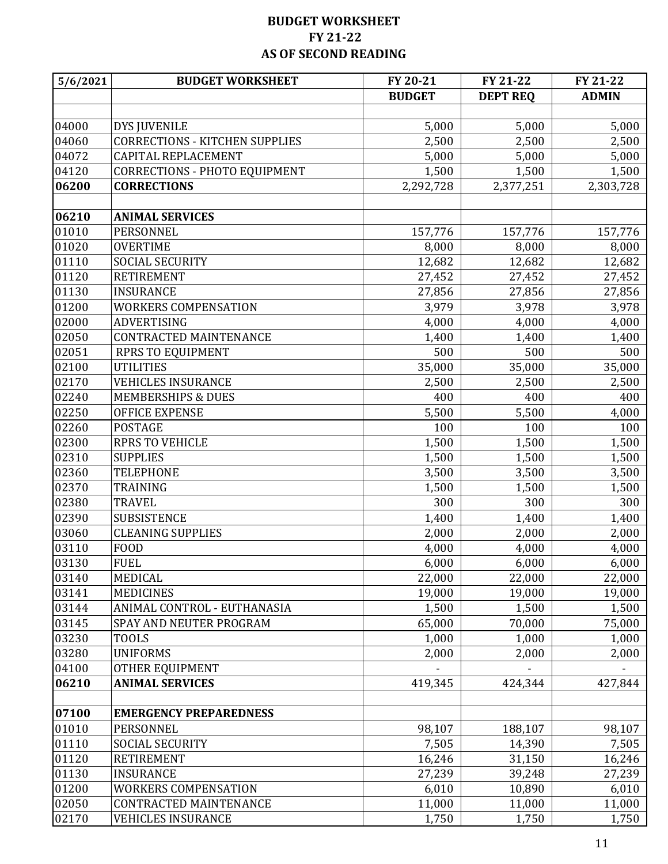| 5/6/2021 | <b>BUDGET WORKSHEET</b>               | FY 20-21      | FY 21-22        | FY 21-22     |
|----------|---------------------------------------|---------------|-----------------|--------------|
|          |                                       | <b>BUDGET</b> | <b>DEPT REQ</b> | <b>ADMIN</b> |
|          |                                       |               |                 |              |
| 04000    | <b>DYS JUVENILE</b>                   | 5,000         | 5,000           | 5,000        |
| 04060    | <b>CORRECTIONS - KITCHEN SUPPLIES</b> | 2,500         | 2,500           | 2,500        |
| 04072    | CAPITAL REPLACEMENT                   | 5,000         | 5,000           | 5,000        |
| 04120    | CORRECTIONS - PHOTO EQUIPMENT         | 1,500         | 1,500           | 1,500        |
| 06200    | <b>CORRECTIONS</b>                    | 2,292,728     | 2,377,251       | 2,303,728    |
|          |                                       |               |                 |              |
| 06210    | <b>ANIMAL SERVICES</b>                |               |                 |              |
| 01010    | PERSONNEL                             | 157,776       | 157,776         | 157,776      |
| 01020    | <b>OVERTIME</b>                       | 8,000         | 8,000           | 8,000        |
| 01110    | <b>SOCIAL SECURITY</b>                | 12,682        | 12,682          | 12,682       |
| 01120    | <b>RETIREMENT</b>                     | 27,452        | 27,452          | 27,452       |
| 01130    | <b>INSURANCE</b>                      | 27,856        | 27,856          | 27,856       |
| 01200    | <b>WORKERS COMPENSATION</b>           | 3,979         | 3,978           | 3,978        |
| 02000    | <b>ADVERTISING</b>                    | 4,000         | 4,000           | 4,000        |
| 02050    | <b>CONTRACTED MAINTENANCE</b>         | 1,400         | 1,400           | 1,400        |
| 02051    | <b>RPRS TO EQUIPMENT</b>              | 500           | 500             | 500          |
| 02100    | <b>UTILITIES</b>                      | 35,000        | 35,000          | 35,000       |
| 02170    | <b>VEHICLES INSURANCE</b>             | 2,500         | 2,500           | 2,500        |
| 02240    | <b>MEMBERSHIPS &amp; DUES</b>         | 400           | 400             | 400          |
| 02250    | <b>OFFICE EXPENSE</b>                 | 5,500         | 5,500           | 4,000        |
| 02260    | <b>POSTAGE</b>                        | 100           | 100             | 100          |
| 02300    | <b>RPRS TO VEHICLE</b>                | 1,500         | 1,500           | 1,500        |
| 02310    | <b>SUPPLIES</b>                       | 1,500         | 1,500           | 1,500        |
| 02360    | <b>TELEPHONE</b>                      | 3,500         | 3,500           | 3,500        |
| 02370    | TRAINING                              | 1,500         | 1,500           | 1,500        |
| 02380    | <b>TRAVEL</b>                         | 300           | 300             | 300          |
| 02390    | <b>SUBSISTENCE</b>                    | 1,400         | 1,400           | 1,400        |
| 03060    | <b>CLEANING SUPPLIES</b>              | 2,000         | 2,000           | 2,000        |
| 03110    | <b>FOOD</b>                           | 4,000         | 4,000           | 4,000        |
| 03130    | <b>FUEL</b>                           | 6,000         | 6,000           | 6,000        |
| 03140    | <b>MEDICAL</b>                        | 22,000        | 22,000          | 22,000       |
| 03141    | <b>MEDICINES</b>                      | 19,000        | 19,000          | 19,000       |
| 03144    | ANIMAL CONTROL - EUTHANASIA           | 1,500         | 1,500           | 1,500        |
| 03145    | SPAY AND NEUTER PROGRAM               | 65,000        | 70,000          | 75,000       |
| 03230    | <b>TOOLS</b>                          | 1,000         | 1,000           | 1,000        |
| 03280    | <b>UNIFORMS</b>                       | 2,000         | 2,000           | 2,000        |
| 04100    | OTHER EQUIPMENT                       |               |                 |              |
| 06210    | <b>ANIMAL SERVICES</b>                | 419,345       | 424,344         | 427,844      |
|          |                                       |               |                 |              |
| 07100    | <b>EMERGENCY PREPAREDNESS</b>         |               |                 |              |
| 01010    | PERSONNEL                             | 98,107        | 188,107         | 98,107       |
| 01110    | <b>SOCIAL SECURITY</b>                | 7,505         | 14,390          | 7,505        |
| 01120    | <b>RETIREMENT</b>                     | 16,246        | 31,150          | 16,246       |
| 01130    | <b>INSURANCE</b>                      | 27,239        | 39,248          | 27,239       |
| 01200    | <b>WORKERS COMPENSATION</b>           | 6,010         | 10,890          | 6,010        |
| 02050    | CONTRACTED MAINTENANCE                | 11,000        | 11,000          | 11,000       |
| 02170    | <b>VEHICLES INSURANCE</b>             | 1,750         | 1,750           | 1,750        |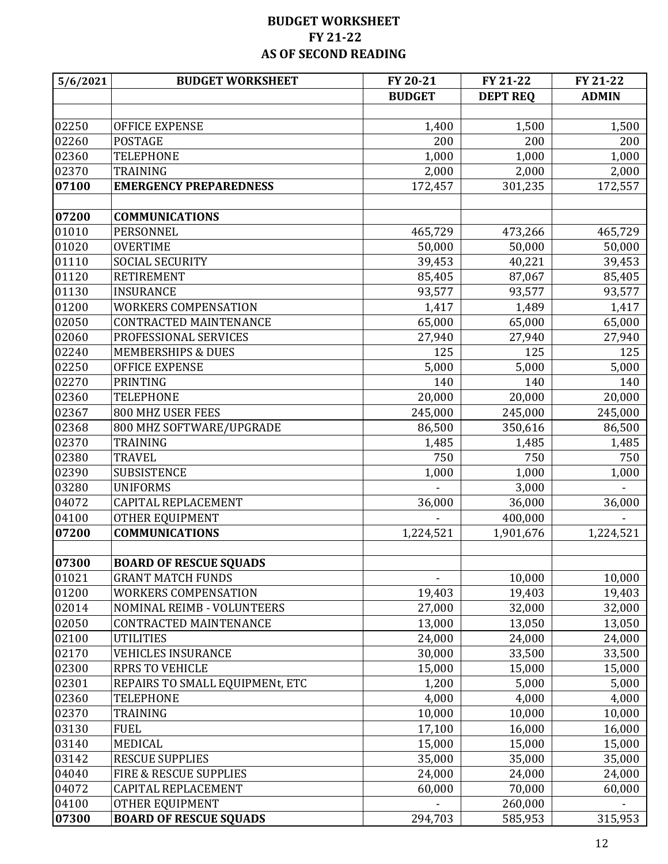| 5/6/2021            | <b>BUDGET WORKSHEET</b>         | FY 20-21      | FY 21-22        | FY 21-22     |
|---------------------|---------------------------------|---------------|-----------------|--------------|
|                     |                                 | <b>BUDGET</b> | <b>DEPT REQ</b> | <b>ADMIN</b> |
|                     |                                 |               |                 |              |
| 02250               | <b>OFFICE EXPENSE</b>           | 1,400         | 1,500           | 1,500        |
| 02260               | <b>POSTAGE</b>                  | 200           | 200             | 200          |
| 02360               | <b>TELEPHONE</b>                | 1,000         | 1,000           | 1,000        |
| 02370               | TRAINING                        | 2,000         | 2,000           | 2,000        |
| 07100               | <b>EMERGENCY PREPAREDNESS</b>   | 172,457       | 301,235         | 172,557      |
|                     |                                 |               |                 |              |
| 07200               | <b>COMMUNICATIONS</b>           |               |                 |              |
| 01010               | PERSONNEL                       | 465,729       | 473,266         | 465,729      |
| 01020               | <b>OVERTIME</b>                 | 50,000        | 50,000          | 50,000       |
| 01110               | <b>SOCIAL SECURITY</b>          | 39,453        | 40,221          | 39,453       |
| 01120               | <b>RETIREMENT</b>               | 85,405        | 87,067          | 85,405       |
| 01130               | <b>INSURANCE</b>                | 93,577        | 93,577          | 93,577       |
| 01200               | <b>WORKERS COMPENSATION</b>     | 1,417         | 1,489           | 1,417        |
| 02050               | <b>CONTRACTED MAINTENANCE</b>   | 65,000        | 65,000          | 65,000       |
| 02060               | PROFESSIONAL SERVICES           | 27,940        | 27,940          | 27,940       |
| 02240               | <b>MEMBERSHIPS &amp; DUES</b>   | 125           | 125             | 125          |
| 02250               | <b>OFFICE EXPENSE</b>           | 5,000         | 5,000           | 5,000        |
| 02270               | <b>PRINTING</b>                 | 140           | 140             | 140          |
| 02360               | <b>TELEPHONE</b>                | 20,000        | 20,000          | 20,000       |
| 02367               | 800 MHZ USER FEES               | 245,000       | 245,000         | 245,000      |
| 02368               | 800 MHZ SOFTWARE/UPGRADE        | 86,500        | 350,616         | 86,500       |
| 02370               | TRAINING                        | 1,485         | 1,485           | 1,485        |
| 02380               | <b>TRAVEL</b>                   | 750           | 750             | 750          |
| 02390               | <b>SUBSISTENCE</b>              | 1,000         | 1,000           | 1,000        |
| 03280               | <b>UNIFORMS</b>                 |               | 3,000           |              |
| 04072               | <b>CAPITAL REPLACEMENT</b>      | 36,000        | 36,000          | 36,000       |
| 04100               | OTHER EQUIPMENT                 |               | 400,000         |              |
| 07200               | <b>COMMUNICATIONS</b>           | 1,224,521     | 1,901,676       | 1,224,521    |
|                     |                                 |               |                 |              |
| $\overline{0}$ 7300 | <b>BOARD OF RESCUE SQUADS</b>   |               |                 |              |
| 01021               | <b>GRANT MATCH FUNDS</b>        |               | 10,000          | 10,000       |
| 01200               | <b>WORKERS COMPENSATION</b>     | 19,403        | 19,403          | 19,403       |
| 02014               | NOMINAL REIMB - VOLUNTEERS      | 27,000        | 32,000          | 32,000       |
| 02050               | CONTRACTED MAINTENANCE          | 13,000        | 13,050          | 13,050       |
| 02100               | <b>UTILITIES</b>                | 24,000        | 24,000          | 24,000       |
| 02170               | <b>VEHICLES INSURANCE</b>       | 30,000        | 33,500          | 33,500       |
| 02300               | <b>RPRS TO VEHICLE</b>          | 15,000        | 15,000          | 15,000       |
| 02301               | REPAIRS TO SMALL EQUIPMENt, ETC | 1,200         | 5,000           | 5,000        |
| 02360               | <b>TELEPHONE</b>                | 4,000         | 4,000           | 4,000        |
| 02370               | TRAINING                        | 10,000        | 10,000          | 10,000       |
| 03130               | <b>FUEL</b>                     | 17,100        | 16,000          | 16,000       |
| 03140               | MEDICAL                         | 15,000        | 15,000          | 15,000       |
| 03142               | <b>RESCUE SUPPLIES</b>          | 35,000        | 35,000          | 35,000       |
| 04040               | FIRE & RESCUE SUPPLIES          | 24,000        | 24,000          | 24,000       |
| 04072               | CAPITAL REPLACEMENT             | 60,000        | 70,000          | 60,000       |
| 04100               | OTHER EQUIPMENT                 |               | 260,000         |              |
| 07300               | <b>BOARD OF RESCUE SQUADS</b>   | 294,703       | 585,953         | 315,953      |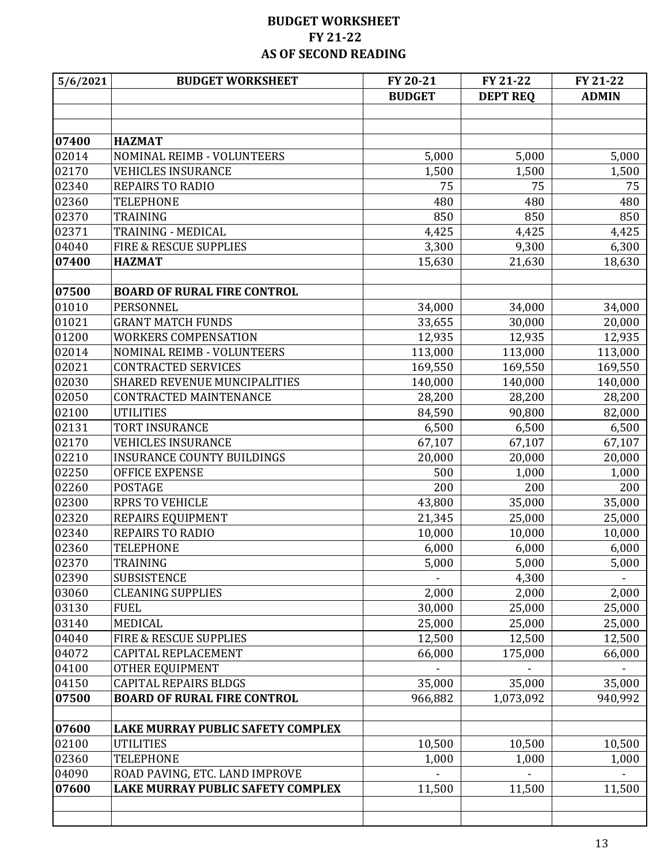| 5/6/2021 | <b>BUDGET WORKSHEET</b>             | FY 20-21      | FY 21-22        | FY 21-22     |
|----------|-------------------------------------|---------------|-----------------|--------------|
|          |                                     | <b>BUDGET</b> | <b>DEPT REQ</b> | <b>ADMIN</b> |
|          |                                     |               |                 |              |
|          |                                     |               |                 |              |
| 07400    | <b>HAZMAT</b>                       |               |                 |              |
| 02014    | NOMINAL REIMB - VOLUNTEERS          | 5,000         | 5,000           | 5,000        |
| 02170    | <b>VEHICLES INSURANCE</b>           | 1,500         | 1,500           | 1,500        |
| 02340    | <b>REPAIRS TO RADIO</b>             | 75            | 75              | 75           |
| 02360    | <b>TELEPHONE</b>                    | 480           | 480             | 480          |
| 02370    | <b>TRAINING</b>                     | 850           | 850             | 850          |
| 02371    | TRAINING - MEDICAL                  | 4,425         | 4,425           | 4,425        |
| 04040    | FIRE & RESCUE SUPPLIES              | 3,300         | 9,300           | 6,300        |
| 07400    | <b>HAZMAT</b>                       | 15,630        | 21,630          | 18,630       |
|          |                                     |               |                 |              |
| 07500    | <b>BOARD OF RURAL FIRE CONTROL</b>  |               |                 |              |
| 01010    | PERSONNEL                           | 34,000        | 34,000          | 34,000       |
| 01021    | <b>GRANT MATCH FUNDS</b>            | 33,655        | 30,000          | 20,000       |
| 01200    | <b>WORKERS COMPENSATION</b>         | 12,935        | 12,935          | 12,935       |
| 02014    | NOMINAL REIMB - VOLUNTEERS          | 113,000       | 113,000         | 113,000      |
| 02021    | <b>CONTRACTED SERVICES</b>          | 169,550       | 169,550         | 169,550      |
| 02030    | <b>SHARED REVENUE MUNCIPALITIES</b> | 140,000       | 140,000         | 140,000      |
| 02050    | <b>CONTRACTED MAINTENANCE</b>       | 28,200        | 28,200          | 28,200       |
| 02100    | <b>UTILITIES</b>                    | 84,590        | 90,800          | 82,000       |
| 02131    | <b>TORT INSURANCE</b>               | 6,500         | 6,500           | 6,500        |
| 02170    | <b>VEHICLES INSURANCE</b>           | 67,107        | 67,107          | 67,107       |
| 02210    | <b>INSURANCE COUNTY BUILDINGS</b>   | 20,000        | 20,000          | 20,000       |
| 02250    | <b>OFFICE EXPENSE</b>               | 500           | 1,000           | 1,000        |
| 02260    | <b>POSTAGE</b>                      | 200           | 200             | 200          |
| 02300    | <b>RPRS TO VEHICLE</b>              | 43,800        | 35,000          | 35,000       |
| 02320    | REPAIRS EQUIPMENT                   | 21,345        | 25,000          | 25,000       |
| 02340    | REPAIRS TO RADIO                    | 10,000        | 10,000          | 10,000       |
| 02360    | <b>TELEPHONE</b>                    | 6,000         | 6,000           | 6,000        |
| 02370    | <b>TRAINING</b>                     | 5,000         | 5,000           | 5,000        |
| 02390    | <b>SUBSISTENCE</b>                  |               | 4,300           |              |
| 03060    | <b>CLEANING SUPPLIES</b>            | 2,000         | 2,000           | 2,000        |
| 03130    | <b>FUEL</b>                         | 30,000        | 25,000          | 25,000       |
| 03140    | <b>MEDICAL</b>                      | 25,000        | 25,000          | 25,000       |
| 04040    | FIRE & RESCUE SUPPLIES              | 12,500        | 12,500          | 12,500       |
| 04072    | <b>CAPITAL REPLACEMENT</b>          | 66,000        | 175,000         | 66,000       |
| 04100    | OTHER EQUIPMENT                     |               |                 |              |
| 04150    | <b>CAPITAL REPAIRS BLDGS</b>        | 35,000        | 35,000          | 35,000       |
| 07500    | <b>BOARD OF RURAL FIRE CONTROL</b>  | 966,882       | 1,073,092       | 940,992      |
|          |                                     |               |                 |              |
| 07600    | LAKE MURRAY PUBLIC SAFETY COMPLEX   |               |                 |              |
| 02100    | <b>UTILITIES</b>                    | 10,500        | 10,500          | 10,500       |
| 02360    | <b>TELEPHONE</b>                    | 1,000         | 1,000           | 1,000        |
| 04090    | ROAD PAVING, ETC. LAND IMPROVE      |               |                 |              |
| 07600    | LAKE MURRAY PUBLIC SAFETY COMPLEX   | 11,500        | 11,500          | 11,500       |
|          |                                     |               |                 |              |
|          |                                     |               |                 |              |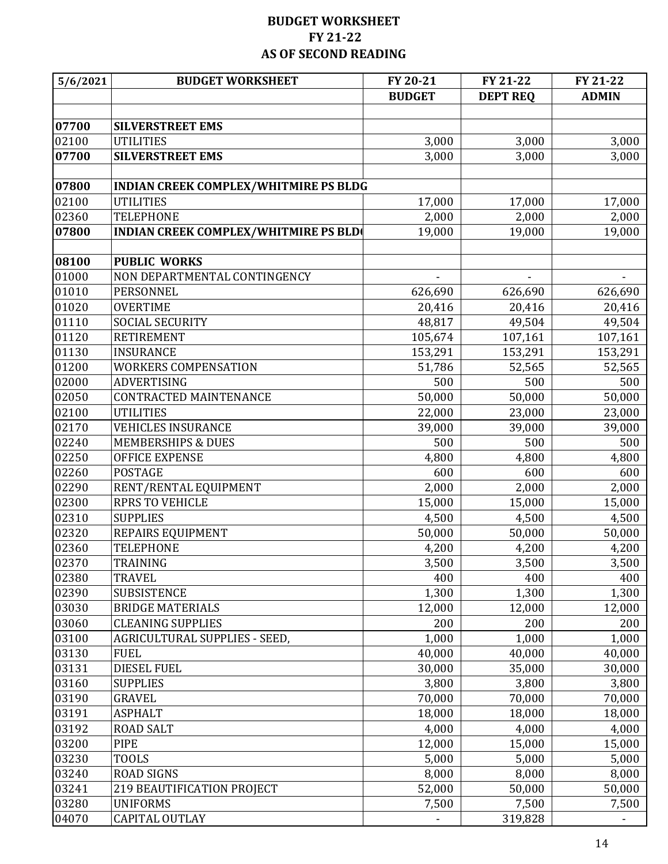| 5/6/2021 | <b>BUDGET WORKSHEET</b>                      | FY 20-21      | FY 21-22        | FY 21-22     |
|----------|----------------------------------------------|---------------|-----------------|--------------|
|          |                                              | <b>BUDGET</b> | <b>DEPT REQ</b> | <b>ADMIN</b> |
|          |                                              |               |                 |              |
| 07700    | <b>SILVERSTREET EMS</b>                      |               |                 |              |
| 02100    | <b>UTILITIES</b>                             | 3,000         | 3,000           | 3,000        |
| 07700    | <b>SILVERSTREET EMS</b>                      | 3,000         | 3,000           | 3,000        |
|          |                                              |               |                 |              |
| 07800    | <b>INDIAN CREEK COMPLEX/WHITMIRE PS BLDG</b> |               |                 |              |
| 02100    | <b>UTILITIES</b>                             | 17,000        | 17,000          | 17,000       |
| 02360    | <b>TELEPHONE</b>                             | 2,000         | 2,000           | 2,000        |
| 07800    | <b>INDIAN CREEK COMPLEX/WHITMIRE PS BLD</b>  | 19,000        | 19,000          | 19,000       |
|          |                                              |               |                 |              |
| 08100    | <b>PUBLIC WORKS</b>                          |               |                 |              |
| 01000    | NON DEPARTMENTAL CONTINGENCY                 |               |                 |              |
| 01010    | PERSONNEL                                    | 626,690       | 626,690         | 626,690      |
| 01020    | <b>OVERTIME</b>                              | 20,416        | 20,416          | 20,416       |
| 01110    | <b>SOCIAL SECURITY</b>                       | 48,817        | 49,504          | 49,504       |
| 01120    | <b>RETIREMENT</b>                            | 105,674       | 107,161         | 107,161      |
| 01130    | <b>INSURANCE</b>                             | 153,291       | 153,291         | 153,291      |
| 01200    | <b>WORKERS COMPENSATION</b>                  | 51,786        | 52,565          | 52,565       |
| 02000    | <b>ADVERTISING</b>                           | 500           | 500             | 500          |
| 02050    | <b>CONTRACTED MAINTENANCE</b>                | 50,000        | 50,000          | 50,000       |
| 02100    | <b>UTILITIES</b>                             | 22,000        | 23,000          | 23,000       |
| 02170    | <b>VEHICLES INSURANCE</b>                    | 39,000        | 39,000          | 39,000       |
| 02240    | <b>MEMBERSHIPS &amp; DUES</b>                | 500           | 500             | 500          |
| 02250    | <b>OFFICE EXPENSE</b>                        | 4,800         | 4,800           | 4,800        |
| 02260    | <b>POSTAGE</b>                               | 600           | 600             | 600          |
| 02290    | RENT/RENTAL EQUIPMENT                        | 2,000         | 2,000           | 2,000        |
| 02300    | <b>RPRS TO VEHICLE</b>                       | 15,000        | 15,000          | 15,000       |
| 02310    | <b>SUPPLIES</b>                              | 4,500         | 4,500           | 4,500        |
| 02320    | REPAIRS EQUIPMENT                            | 50,000        | 50,000          | 50,000       |
| 02360    | <b>TELEPHONE</b>                             | 4,200         | 4,200           | 4,200        |
| 02370    | TRAINING                                     | 3,500         | 3,500           | 3,500        |
| 02380    | TRAVEL                                       | 400           | 400             | 400          |
| 02390    | <b>SUBSISTENCE</b>                           | 1,300         | 1,300           | 1,300        |
| 03030    | <b>BRIDGE MATERIALS</b>                      | 12,000        | 12,000          | 12,000       |
| 03060    | <b>CLEANING SUPPLIES</b>                     | 200           | 200             | 200          |
| 03100    | AGRICULTURAL SUPPLIES - SEED,                | 1,000         | 1,000           | 1,000        |
| 03130    | <b>FUEL</b>                                  | 40,000        | 40,000          | 40,000       |
| 03131    | <b>DIESEL FUEL</b>                           | 30,000        | 35,000          | 30,000       |
| 03160    | <b>SUPPLIES</b>                              | 3,800         | 3,800           | 3,800        |
| 03190    | <b>GRAVEL</b>                                | 70,000        | 70,000          | 70,000       |
| 03191    | <b>ASPHALT</b>                               | 18,000        | 18,000          | 18,000       |
| 03192    | <b>ROAD SALT</b>                             | 4,000         | 4,000           | 4,000        |
| 03200    | <b>PIPE</b>                                  | 12,000        | 15,000          | 15,000       |
| 03230    | <b>TOOLS</b>                                 | 5,000         | 5,000           | 5,000        |
| 03240    | <b>ROAD SIGNS</b>                            | 8,000         | 8,000           | 8,000        |
| 03241    | 219 BEAUTIFICATION PROJECT                   | 52,000        | 50,000          | 50,000       |
| 03280    | <b>UNIFORMS</b>                              | 7,500         | 7,500           | 7,500        |
| 04070    | CAPITAL OUTLAY                               |               | 319,828         |              |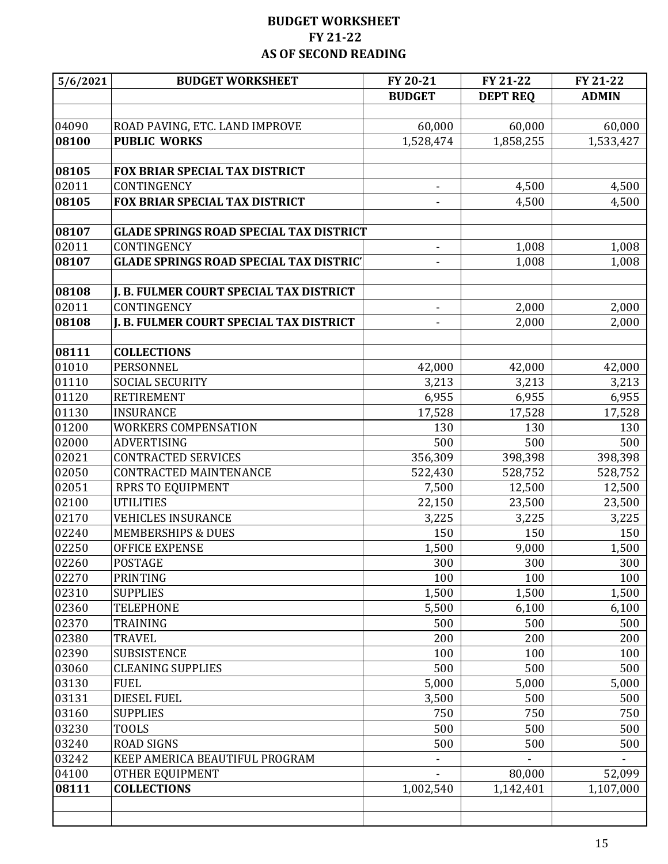| 5/6/2021 | <b>BUDGET WORKSHEET</b>                        | FY 20-21                 | FY 21-22        | FY 21-22     |
|----------|------------------------------------------------|--------------------------|-----------------|--------------|
|          |                                                | <b>BUDGET</b>            | <b>DEPT REQ</b> | <b>ADMIN</b> |
|          |                                                |                          |                 |              |
| 04090    | ROAD PAVING, ETC. LAND IMPROVE                 | 60,000                   | 60,000          | 60,000       |
| 08100    | <b>PUBLIC WORKS</b>                            | 1,528,474                | 1,858,255       | 1,533,427    |
|          |                                                |                          |                 |              |
| 08105    | <b>FOX BRIAR SPECIAL TAX DISTRICT</b>          |                          |                 |              |
| 02011    | CONTINGENCY                                    |                          | 4,500           | 4,500        |
| 08105    | <b>FOX BRIAR SPECIAL TAX DISTRICT</b>          |                          | 4,500           | 4,500        |
|          |                                                |                          |                 |              |
| 08107    | <b>GLADE SPRINGS ROAD SPECIAL TAX DISTRICT</b> |                          |                 |              |
| 02011    | CONTINGENCY                                    |                          | 1,008           | 1,008        |
| 08107    | <b>GLADE SPRINGS ROAD SPECIAL TAX DISTRICT</b> |                          | 1,008           | 1,008        |
|          |                                                |                          |                 |              |
| 08108    | <b>J. B. FULMER COURT SPECIAL TAX DISTRICT</b> |                          |                 |              |
| 02011    | CONTINGENCY                                    |                          | 2,000           | 2,000        |
| 08108    | <b>J. B. FULMER COURT SPECIAL TAX DISTRICT</b> | $\overline{\phantom{a}}$ | 2,000           | 2,000        |
| 08111    | <b>COLLECTIONS</b>                             |                          |                 |              |
| 01010    | PERSONNEL                                      | 42,000                   | 42,000          | 42,000       |
| 01110    | <b>SOCIAL SECURITY</b>                         | 3,213                    | 3,213           | 3,213        |
| 01120    | <b>RETIREMENT</b>                              | 6,955                    | 6,955           | 6,955        |
| 01130    | <b>INSURANCE</b>                               | 17,528                   | 17,528          | 17,528       |
| 01200    | WORKERS COMPENSATION                           | 130                      | 130             | 130          |
| 02000    | <b>ADVERTISING</b>                             | 500                      | 500             | 500          |
| 02021    | <b>CONTRACTED SERVICES</b>                     | 356,309                  | 398,398         | 398,398      |
| 02050    | <b>CONTRACTED MAINTENANCE</b>                  | 522,430                  | 528,752         | 528,752      |
| 02051    | <b>RPRS TO EQUIPMENT</b>                       | 7,500                    | 12,500          | 12,500       |
| 02100    | <b>UTILITIES</b>                               | 22,150                   | 23,500          | 23,500       |
| 02170    | <b>VEHICLES INSURANCE</b>                      | 3,225                    | 3,225           | 3,225        |
| 02240    | <b>MEMBERSHIPS &amp; DUES</b>                  | 150                      | 150             | 150          |
| 02250    | <b>OFFICE EXPENSE</b>                          | 1,500                    | 9,000           | 1,500        |
| 02260    | POSTAGE                                        | 300                      | 300             | 300          |
| 02270    | PRINTING                                       | 100                      | 100             | 100          |
| 02310    | <b>SUPPLIES</b>                                | 1,500                    | 1,500           | 1,500        |
| 02360    | <b>TELEPHONE</b>                               | 5,500                    | 6,100           | 6,100        |
| 02370    | TRAINING                                       | 500                      | 500             | 500          |
| 02380    | <b>TRAVEL</b>                                  | 200                      | 200             | 200          |
| 02390    | <b>SUBSISTENCE</b>                             | 100                      | 100             | 100          |
| 03060    | <b>CLEANING SUPPLIES</b>                       | 500                      | 500             | 500          |
| 03130    | <b>FUEL</b>                                    | 5,000                    | 5,000           | 5,000        |
| 03131    | <b>DIESEL FUEL</b>                             | 3,500                    | 500             | 500          |
| 03160    | <b>SUPPLIES</b>                                | 750                      | 750             | 750          |
| 03230    | <b>TOOLS</b>                                   | 500                      | 500             | 500          |
| 03240    | <b>ROAD SIGNS</b>                              | 500                      | 500             | 500          |
| 03242    | KEEP AMERICA BEAUTIFUL PROGRAM                 |                          |                 |              |
| 04100    | OTHER EQUIPMENT                                |                          | 80,000          | 52,099       |
| 08111    | <b>COLLECTIONS</b>                             | 1,002,540                | 1,142,401       | 1,107,000    |
|          |                                                |                          |                 |              |
|          |                                                |                          |                 |              |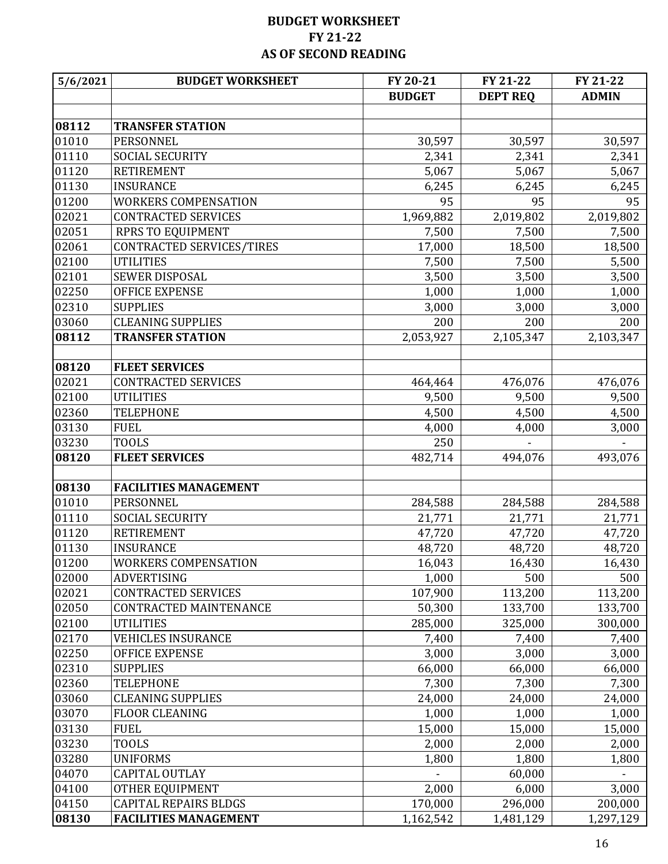| 5/6/2021           | <b>BUDGET WORKSHEET</b>      | FY 20-21      | FY 21-22        | FY 21-22     |
|--------------------|------------------------------|---------------|-----------------|--------------|
|                    |                              | <b>BUDGET</b> | <b>DEPT REQ</b> | <b>ADMIN</b> |
|                    |                              |               |                 |              |
| 08112              | <b>TRANSFER STATION</b>      |               |                 |              |
| 01010              | PERSONNEL                    | 30,597        | 30,597          | 30,597       |
| 01110              | <b>SOCIAL SECURITY</b>       | 2,341         | 2,341           | 2,341        |
| 01120              | <b>RETIREMENT</b>            | 5,067         | 5,067           | 5,067        |
| 01130              | <b>INSURANCE</b>             | 6,245         | 6,245           | 6,245        |
| 01200              | <b>WORKERS COMPENSATION</b>  | 95            | 95              | 95           |
| 02021              | <b>CONTRACTED SERVICES</b>   | 1,969,882     | 2,019,802       | 2,019,802    |
| 02051              | <b>RPRS TO EQUIPMENT</b>     | 7,500         | 7,500           | 7,500        |
| 02061              | CONTRACTED SERVICES/TIRES    | 17,000        | 18,500          | 18,500       |
| 02100              | <b>UTILITIES</b>             | 7,500         | 7,500           | 5,500        |
| 02101              | SEWER DISPOSAL               | 3,500         | 3,500           | 3,500        |
| 02250              | <b>OFFICE EXPENSE</b>        | 1,000         | 1,000           | 1,000        |
| 02310              | <b>SUPPLIES</b>              | 3,000         | 3,000           | 3,000        |
| 03060              | <b>CLEANING SUPPLIES</b>     | 200           | 200             | 200          |
| 08112              | <b>TRANSFER STATION</b>      | 2,053,927     | 2,105,347       | 2,103,347    |
|                    |                              |               |                 |              |
| 08120              | <b>FLEET SERVICES</b>        |               |                 |              |
| 02021              | <b>CONTRACTED SERVICES</b>   | 464,464       | 476,076         | 476,076      |
| 02100              | <b>UTILITIES</b>             | 9,500         | 9,500           | 9,500        |
| 02360              | <b>TELEPHONE</b>             | 4,500         | 4,500           | 4,500        |
| 03130              | <b>FUEL</b>                  | 4,000         | 4,000           | 3,000        |
| 03230              | <b>TOOLS</b>                 | 250           |                 |              |
| 08120              | <b>FLEET SERVICES</b>        | 482,714       | 494,076         | 493,076      |
|                    |                              |               |                 |              |
| 08130              | <b>FACILITIES MANAGEMENT</b> |               |                 |              |
| 01010              | PERSONNEL                    | 284,588       | 284,588         | 284,588      |
| 01110              | <b>SOCIAL SECURITY</b>       | 21,771        | 21,771          | 21,771       |
| 01120              | <b>RETIREMENT</b>            | 47,720        | 47,720          | 47,720       |
| 01130              | <b>INSURANCE</b>             | 48,720        | 48,720          | 48,720       |
| $\overline{01200}$ | <b>WORKERS COMPENSATION</b>  | 16,043        | 16,430          | 16,430       |
| 02000              | <b>ADVERTISING</b>           | 1,000         | 500             | 500          |
| 02021              | <b>CONTRACTED SERVICES</b>   | 107,900       | 113,200         | 113,200      |
| 02050              | CONTRACTED MAINTENANCE       | 50,300        | 133,700         | 133,700      |
| 02100              | <b>UTILITIES</b>             | 285,000       | 325,000         | 300,000      |
| 02170              | <b>VEHICLES INSURANCE</b>    | 7,400         | 7,400           | 7,400        |
| 02250              | <b>OFFICE EXPENSE</b>        | 3,000         | 3,000           | 3,000        |
| 02310              | <b>SUPPLIES</b>              | 66,000        | 66,000          | 66,000       |
| 02360              | <b>TELEPHONE</b>             | 7,300         | 7,300           | 7,300        |
| 03060              | <b>CLEANING SUPPLIES</b>     | 24,000        | 24,000          | 24,000       |
| 03070              | <b>FLOOR CLEANING</b>        | 1,000         | 1,000           | 1,000        |
| 03130              | <b>FUEL</b>                  | 15,000        | 15,000          | 15,000       |
| 03230              | <b>TOOLS</b>                 | 2,000         | 2,000           | 2,000        |
| 03280              | <b>UNIFORMS</b>              | 1,800         | 1,800           | 1,800        |
| 04070              | <b>CAPITAL OUTLAY</b>        |               | 60,000          |              |
| 04100              | OTHER EQUIPMENT              | 2,000         | 6,000           | 3,000        |
| 04150              | <b>CAPITAL REPAIRS BLDGS</b> | 170,000       | 296,000         | 200,000      |
| 08130              | <b>FACILITIES MANAGEMENT</b> | 1,162,542     | 1,481,129       | 1,297,129    |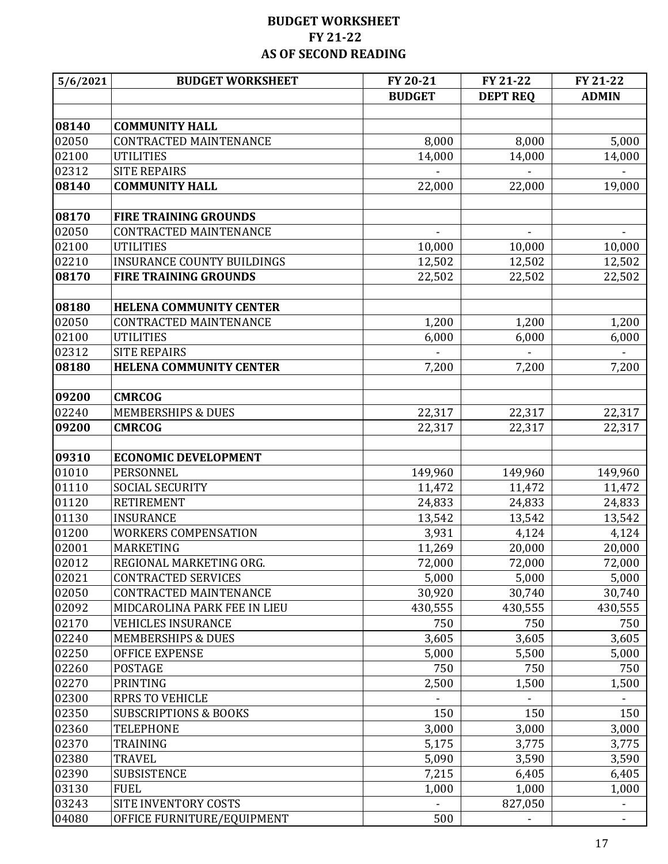| 5/6/2021 | <b>BUDGET WORKSHEET</b>           | FY 20-21      | FY 21-22        | FY 21-22     |
|----------|-----------------------------------|---------------|-----------------|--------------|
|          |                                   | <b>BUDGET</b> | <b>DEPT REQ</b> | <b>ADMIN</b> |
|          |                                   |               |                 |              |
| 08140    | <b>COMMUNITY HALL</b>             |               |                 |              |
| 02050    | <b>CONTRACTED MAINTENANCE</b>     | 8,000         | 8,000           | 5,000        |
| 02100    | <b>UTILITIES</b>                  | 14,000        | 14,000          | 14,000       |
| 02312    | <b>SITE REPAIRS</b>               |               |                 |              |
| 08140    | <b>COMMUNITY HALL</b>             | 22,000        | 22,000          | 19,000       |
|          |                                   |               |                 |              |
| 08170    | <b>FIRE TRAINING GROUNDS</b>      |               |                 |              |
| 02050    | <b>CONTRACTED MAINTENANCE</b>     |               |                 |              |
| 02100    | <b>UTILITIES</b>                  | 10,000        | 10,000          | 10,000       |
| 02210    | <b>INSURANCE COUNTY BUILDINGS</b> | 12,502        | 12,502          | 12,502       |
| 08170    | <b>FIRE TRAINING GROUNDS</b>      | 22,502        | 22,502          | 22,502       |
|          |                                   |               |                 |              |
| 08180    | <b>HELENA COMMUNITY CENTER</b>    |               |                 |              |
| 02050    | <b>CONTRACTED MAINTENANCE</b>     | 1,200         | 1,200           | 1,200        |
| 02100    | <b>UTILITIES</b>                  | 6,000         | 6,000           | 6,000        |
| 02312    | <b>SITE REPAIRS</b>               |               |                 |              |
| 08180    | <b>HELENA COMMUNITY CENTER</b>    | 7,200         | 7,200           | 7,200        |
|          |                                   |               |                 |              |
| 09200    | <b>CMRCOG</b>                     |               |                 |              |
| 02240    | <b>MEMBERSHIPS &amp; DUES</b>     | 22,317        | 22,317          | 22,317       |
| 09200    | <b>CMRCOG</b>                     | 22,317        | 22,317          | 22,317       |
|          |                                   |               |                 |              |
| 09310    | <b>ECONOMIC DEVELOPMENT</b>       |               |                 |              |
| 01010    | PERSONNEL                         | 149,960       | 149,960         | 149,960      |
| 01110    | <b>SOCIAL SECURITY</b>            | 11,472        | 11,472          | 11,472       |
| 01120    | <b>RETIREMENT</b>                 | 24,833        | 24,833          | 24,833       |
| 01130    | <b>INSURANCE</b>                  | 13,542        | 13,542          | 13,542       |
| 01200    | <b>WORKERS COMPENSATION</b>       | 3,931         | 4,124           | 4,124        |
| 02001    | <b>MARKETING</b>                  | 11,269        | 20,000          | 20,000       |
| 02012    | REGIONAL MARKETING ORG.           | 72,000        | 72,000          | 72,000       |
| 02021    | <b>CONTRACTED SERVICES</b>        | 5,000         | 5,000           | 5,000        |
| 02050    | CONTRACTED MAINTENANCE            | 30,920        | 30,740          | 30,740       |
| 02092    | MIDCAROLINA PARK FEE IN LIEU      | 430,555       | 430,555         | 430,555      |
| 02170    | <b>VEHICLES INSURANCE</b>         | 750           | 750             | 750          |
| 02240    | <b>MEMBERSHIPS &amp; DUES</b>     | 3,605         | 3,605           | 3,605        |
| 02250    | <b>OFFICE EXPENSE</b>             | 5,000         | 5,500           | 5,000        |
| 02260    | POSTAGE                           | 750           | 750             | 750          |
| 02270    | <b>PRINTING</b>                   | 2,500         | 1,500           | 1,500        |
| 02300    | <b>RPRS TO VEHICLE</b>            |               |                 |              |
| 02350    | <b>SUBSCRIPTIONS &amp; BOOKS</b>  | 150           | 150             | 150          |
| 02360    | TELEPHONE                         | 3,000         | 3,000           | 3,000        |
| 02370    | TRAINING                          | 5,175         | 3,775           | 3,775        |
| 02380    | <b>TRAVEL</b>                     | 5,090         | 3,590           | 3,590        |
| 02390    | <b>SUBSISTENCE</b>                | 7,215         | 6,405           | 6,405        |
| 03130    | <b>FUEL</b>                       | 1,000         | 1,000           | 1,000        |
| 03243    | SITE INVENTORY COSTS              |               | 827,050         |              |
| 04080    | OFFICE FURNITURE/EQUIPMENT        | 500           |                 |              |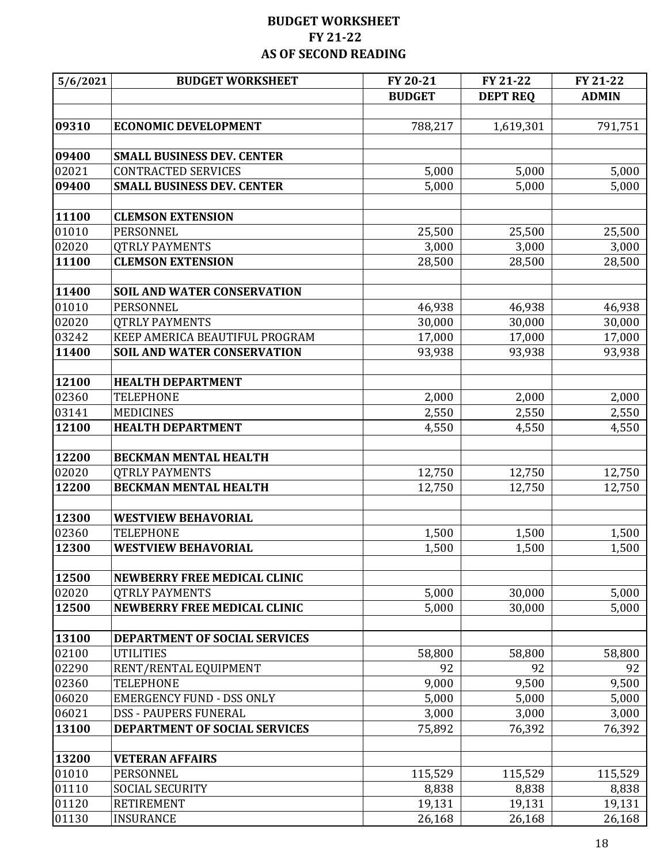| 5/6/2021 | <b>BUDGET WORKSHEET</b>                                      | FY 20-21      | FY 21-22         | FY 21-22       |
|----------|--------------------------------------------------------------|---------------|------------------|----------------|
|          |                                                              | <b>BUDGET</b> | <b>DEPT REQ</b>  | <b>ADMIN</b>   |
|          |                                                              |               |                  |                |
| 09310    | <b>ECONOMIC DEVELOPMENT</b>                                  | 788,217       | 1,619,301        | 791,751        |
|          |                                                              |               |                  |                |
| 09400    | <b>SMALL BUSINESS DEV. CENTER</b>                            |               |                  |                |
| 02021    | <b>CONTRACTED SERVICES</b>                                   | 5,000         | 5,000            | 5,000          |
| 09400    | <b>SMALL BUSINESS DEV. CENTER</b>                            | 5,000         | 5,000            | 5,000          |
| 11100    | <b>CLEMSON EXTENSION</b>                                     |               |                  |                |
| 01010    | PERSONNEL                                                    | 25,500        | 25,500           | 25,500         |
| 02020    | <b>QTRLY PAYMENTS</b>                                        | 3,000         | 3,000            | 3,000          |
| 11100    | <b>CLEMSON EXTENSION</b>                                     | 28,500        | 28,500           | 28,500         |
|          |                                                              |               |                  |                |
| 11400    | <b>SOIL AND WATER CONSERVATION</b>                           |               |                  |                |
| 01010    | PERSONNEL                                                    | 46,938        | 46,938           | 46,938         |
| 02020    | <b>QTRLY PAYMENTS</b>                                        | 30,000        | 30,000           | 30,000         |
| 03242    | KEEP AMERICA BEAUTIFUL PROGRAM                               | 17,000        | 17,000           | 17,000         |
| 11400    | <b>SOIL AND WATER CONSERVATION</b>                           | 93,938        | 93,938           | 93,938         |
| 12100    | <b>HEALTH DEPARTMENT</b>                                     |               |                  |                |
| 02360    | <b>TELEPHONE</b>                                             | 2,000         | 2,000            | 2,000          |
| 03141    | <b>MEDICINES</b>                                             | 2,550         | 2,550            | 2,550          |
| 12100    | <b>HEALTH DEPARTMENT</b>                                     | 4,550         | 4,550            | 4,550          |
|          |                                                              |               |                  |                |
| 12200    | <b>BECKMAN MENTAL HEALTH</b>                                 |               |                  |                |
| 02020    | <b>QTRLY PAYMENTS</b>                                        | 12,750        | 12,750           | 12,750         |
| 12200    | <b>BECKMAN MENTAL HEALTH</b>                                 | 12,750        | 12,750           | 12,750         |
|          |                                                              |               |                  |                |
| 12300    | <b>WESTVIEW BEHAVORIAL</b>                                   |               |                  |                |
| 02360    | <b>TELEPHONE</b>                                             | 1,500         | 1,500            | 1,500          |
| 12300    | <b>WESTVIEW BEHAVORIAL</b>                                   | 1,500         | 1,500            | 1,500          |
| 12500    |                                                              |               |                  |                |
| 02020    | <b>NEWBERRY FREE MEDICAL CLINIC</b><br><b>OTRLY PAYMENTS</b> | 5,000         |                  |                |
| 12500    | <b>NEWBERRY FREE MEDICAL CLINIC</b>                          | 5,000         | 30,000<br>30,000 | 5,000<br>5,000 |
|          |                                                              |               |                  |                |
| 13100    | DEPARTMENT OF SOCIAL SERVICES                                |               |                  |                |
| 02100    | <b>UTILITIES</b>                                             | 58,800        | 58,800           | 58,800         |
| 02290    | RENT/RENTAL EQUIPMENT                                        | 92            | 92               | 92             |
| 02360    | <b>TELEPHONE</b>                                             | 9,000         | 9,500            | 9,500          |
| 06020    | <b>EMERGENCY FUND - DSS ONLY</b>                             | 5,000         | 5,000            | 5,000          |
| 06021    | <b>DSS - PAUPERS FUNERAL</b>                                 | 3,000         | 3,000            | 3,000          |
| 13100    | DEPARTMENT OF SOCIAL SERVICES                                | 75,892        | 76,392           | 76,392         |
|          |                                                              |               |                  |                |
| 13200    | <b>VETERAN AFFAIRS</b>                                       |               |                  |                |
| 01010    | PERSONNEL                                                    | 115,529       | 115,529          | 115,529        |
| 01110    | <b>SOCIAL SECURITY</b>                                       | 8,838         | 8,838            | 8,838          |
| 01120    | <b>RETIREMENT</b>                                            | 19,131        | 19,131           | 19,131         |
| 01130    | <b>INSURANCE</b>                                             | 26,168        | 26,168           | 26,168         |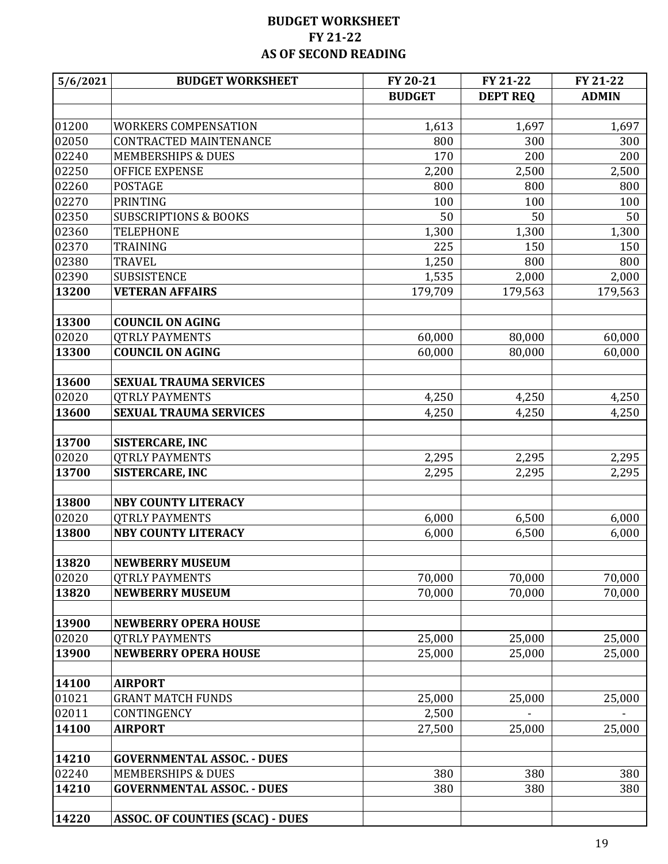| 5/6/2021 | <b>BUDGET WORKSHEET</b>                 | FY 20-21      | FY 21-22        | FY 21-22     |
|----------|-----------------------------------------|---------------|-----------------|--------------|
|          |                                         | <b>BUDGET</b> | <b>DEPT REQ</b> | <b>ADMIN</b> |
|          |                                         |               |                 |              |
| 01200    | <b>WORKERS COMPENSATION</b>             | 1,613         | 1,697           | 1,697        |
| 02050    | CONTRACTED MAINTENANCE                  | 800           | 300             | 300          |
| 02240    | <b>MEMBERSHIPS &amp; DUES</b>           | 170           | 200             | 200          |
| 02250    | <b>OFFICE EXPENSE</b>                   | 2,200         | 2,500           | 2,500        |
| 02260    | <b>POSTAGE</b>                          | 800           | 800             | 800          |
| 02270    | <b>PRINTING</b>                         | 100           | 100             | 100          |
| 02350    | <b>SUBSCRIPTIONS &amp; BOOKS</b>        | 50            | 50              | 50           |
| 02360    | <b>TELEPHONE</b>                        | 1,300         | 1,300           | 1,300        |
| 02370    | <b>TRAINING</b>                         | 225           | 150             | 150          |
| 02380    | <b>TRAVEL</b>                           | 1,250         | 800             | 800          |
| 02390    | <b>SUBSISTENCE</b>                      | 1,535         | 2,000           | 2,000        |
| 13200    | <b>VETERAN AFFAIRS</b>                  | 179,709       | 179,563         | 179,563      |
|          |                                         |               |                 |              |
| 13300    | <b>COUNCIL ON AGING</b>                 |               |                 |              |
| 02020    | <b>QTRLY PAYMENTS</b>                   | 60,000        | 80,000          | 60,000       |
| 13300    | <b>COUNCIL ON AGING</b>                 | 60,000        | 80,000          | 60,000       |
|          |                                         |               |                 |              |
| 13600    | <b>SEXUAL TRAUMA SERVICES</b>           |               |                 |              |
| 02020    | <b>QTRLY PAYMENTS</b>                   | 4,250         | 4,250           | 4,250        |
| 13600    | <b>SEXUAL TRAUMA SERVICES</b>           | 4,250         | 4,250           | 4,250        |
|          |                                         |               |                 |              |
| 13700    | <b>SISTERCARE, INC</b>                  |               |                 |              |
| 02020    | <b>QTRLY PAYMENTS</b>                   | 2,295         | 2,295           | 2,295        |
| 13700    | <b>SISTERCARE, INC</b>                  | 2,295         | 2,295           | 2,295        |
|          |                                         |               |                 |              |
| 13800    | <b>NBY COUNTY LITERACY</b>              |               |                 |              |
| 02020    | <b>QTRLY PAYMENTS</b>                   | 6,000         | 6,500           | 6,000        |
| 13800    | <b>NBY COUNTY LITERACY</b>              | 6,000         | 6,500           | 6,000        |
|          |                                         |               |                 |              |
| 13820    | <b>NEWBERRY MUSEUM</b>                  |               |                 |              |
| 02020    | <b>QTRLY PAYMENTS</b>                   | 70,000        | 70,000          | 70,000       |
| 13820    | <b>NEWBERRY MUSEUM</b>                  | 70,000        | 70,000          | 70,000       |
|          |                                         |               |                 |              |
| 13900    | <b>NEWBERRY OPERA HOUSE</b>             |               |                 |              |
| 02020    | <b>QTRLY PAYMENTS</b>                   | 25,000        | 25,000          | 25,000       |
| 13900    | <b>NEWBERRY OPERA HOUSE</b>             | 25,000        | 25,000          | 25,000       |
|          |                                         |               |                 |              |
| 14100    | <b>AIRPORT</b>                          |               |                 |              |
| 01021    | <b>GRANT MATCH FUNDS</b>                | 25,000        | 25,000          | 25,000       |
| 02011    | CONTINGENCY                             | 2,500         |                 |              |
| 14100    | <b>AIRPORT</b>                          | 27,500        | 25,000          | 25,000       |
|          |                                         |               |                 |              |
| 14210    | <b>GOVERNMENTAL ASSOC. - DUES</b>       |               |                 |              |
| 02240    | <b>MEMBERSHIPS &amp; DUES</b>           | 380           | 380             | 380          |
| 14210    | <b>GOVERNMENTAL ASSOC. - DUES</b>       | 380           | 380             | 380          |
|          |                                         |               |                 |              |
| 14220    | <b>ASSOC. OF COUNTIES (SCAC) - DUES</b> |               |                 |              |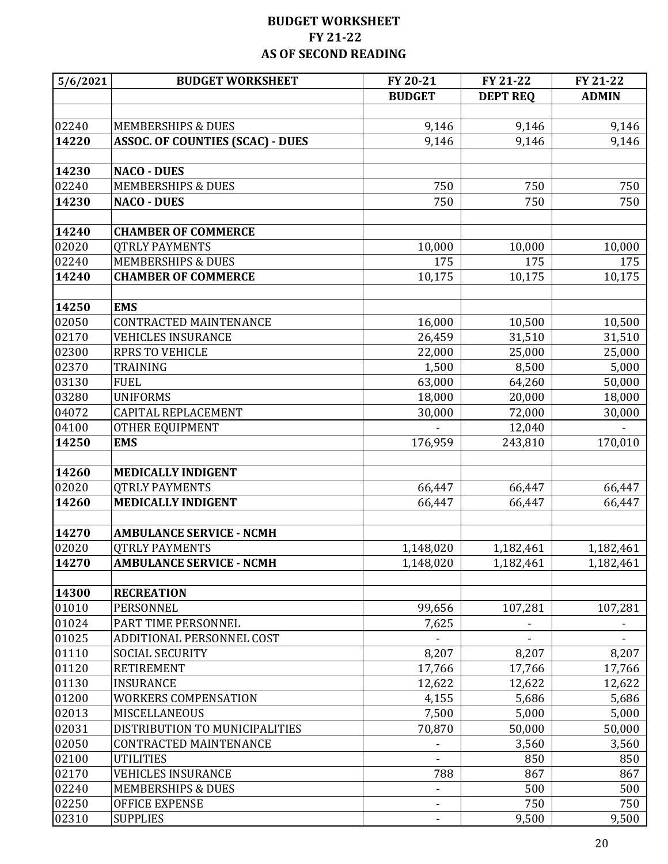| 5/6/2021 | <b>BUDGET WORKSHEET</b>                 | FY 20-21                 | FY 21-22        | FY 21-22     |
|----------|-----------------------------------------|--------------------------|-----------------|--------------|
|          |                                         | <b>BUDGET</b>            | <b>DEPT REQ</b> | <b>ADMIN</b> |
|          |                                         |                          |                 |              |
| 02240    | <b>MEMBERSHIPS &amp; DUES</b>           | 9,146                    | 9,146           | 9,146        |
| 14220    | <b>ASSOC. OF COUNTIES (SCAC) - DUES</b> | 9,146                    | 9,146           | 9,146        |
|          |                                         |                          |                 |              |
| 14230    | <b>NACO - DUES</b>                      |                          |                 |              |
| 02240    | <b>MEMBERSHIPS &amp; DUES</b>           | 750                      | 750             | 750          |
| 14230    | <b>NACO - DUES</b>                      | 750                      | 750             | 750          |
|          |                                         |                          |                 |              |
| 14240    | <b>CHAMBER OF COMMERCE</b>              |                          |                 |              |
| 02020    | <b>QTRLY PAYMENTS</b>                   | 10,000                   | 10,000          | 10,000       |
| 02240    | <b>MEMBERSHIPS &amp; DUES</b>           | 175                      | 175             | 175          |
| 14240    | <b>CHAMBER OF COMMERCE</b>              | 10,175                   | 10,175          | 10,175       |
|          |                                         |                          |                 |              |
| 14250    | <b>EMS</b>                              |                          |                 |              |
| 02050    | <b>CONTRACTED MAINTENANCE</b>           | 16,000                   | 10,500          | 10,500       |
| 02170    | <b>VEHICLES INSURANCE</b>               | 26,459                   | 31,510          | 31,510       |
| 02300    | <b>RPRS TO VEHICLE</b>                  | 22,000                   | 25,000          | 25,000       |
| 02370    | TRAINING                                | 1,500                    | 8,500           | 5,000        |
| 03130    | <b>FUEL</b>                             | 63,000                   | 64,260          | 50,000       |
| 03280    | <b>UNIFORMS</b>                         | 18,000                   | 20,000          | 18,000       |
| 04072    | <b>CAPITAL REPLACEMENT</b>              | 30,000                   | 72,000          | 30,000       |
| 04100    | OTHER EQUIPMENT                         |                          | 12,040          |              |
| 14250    | <b>EMS</b>                              | 176,959                  | 243,810         | 170,010      |
|          |                                         |                          |                 |              |
| 14260    | <b>MEDICALLY INDIGENT</b>               |                          |                 |              |
| 02020    | <b>QTRLY PAYMENTS</b>                   | 66,447                   | 66,447          | 66,447       |
| 14260    | <b>MEDICALLY INDIGENT</b>               | 66,447                   | 66,447          | 66,447       |
|          |                                         |                          |                 |              |
| 14270    | <b>AMBULANCE SERVICE - NCMH</b>         |                          |                 |              |
| 02020    | <b>QTRLY PAYMENTS</b>                   | 1,148,020                | 1,182,461       | 1,182,461    |
| 14270    | <b>AMBULANCE SERVICE - NCMH</b>         | 1,148,020                | 1,182,461       | 1,182,461    |
|          |                                         |                          |                 |              |
| 14300    | <b>RECREATION</b>                       |                          |                 |              |
| 01010    | PERSONNEL                               | 99,656                   | 107,281         | 107,281      |
| 01024    | PART TIME PERSONNEL                     | 7,625                    |                 |              |
| 01025    | ADDITIONAL PERSONNEL COST               |                          |                 |              |
| 01110    | <b>SOCIAL SECURITY</b>                  | 8,207                    | 8,207           | 8,207        |
| 01120    | <b>RETIREMENT</b>                       | 17,766                   | 17,766          | 17,766       |
| 01130    | <b>INSURANCE</b>                        | 12,622                   | 12,622          | 12,622       |
| 01200    | <b>WORKERS COMPENSATION</b>             | 4,155                    | 5,686           | 5,686        |
| 02013    | <b>MISCELLANEOUS</b>                    | 7,500                    | 5,000           | 5,000        |
| 02031    | DISTRIBUTION TO MUNICIPALITIES          | 70,870                   | 50,000          | 50,000       |
| 02050    | CONTRACTED MAINTENANCE                  |                          | 3,560           | 3,560        |
| 02100    | <b>UTILITIES</b>                        |                          | 850             | 850          |
| 02170    | <b>VEHICLES INSURANCE</b>               | 788                      | 867             | 867          |
| 02240    | <b>MEMBERSHIPS &amp; DUES</b>           |                          | 500             | 500          |
| 02250    | <b>OFFICE EXPENSE</b>                   |                          | 750             | 750          |
| 02310    | <b>SUPPLIES</b>                         | $\overline{\phantom{a}}$ | 9,500           | 9,500        |